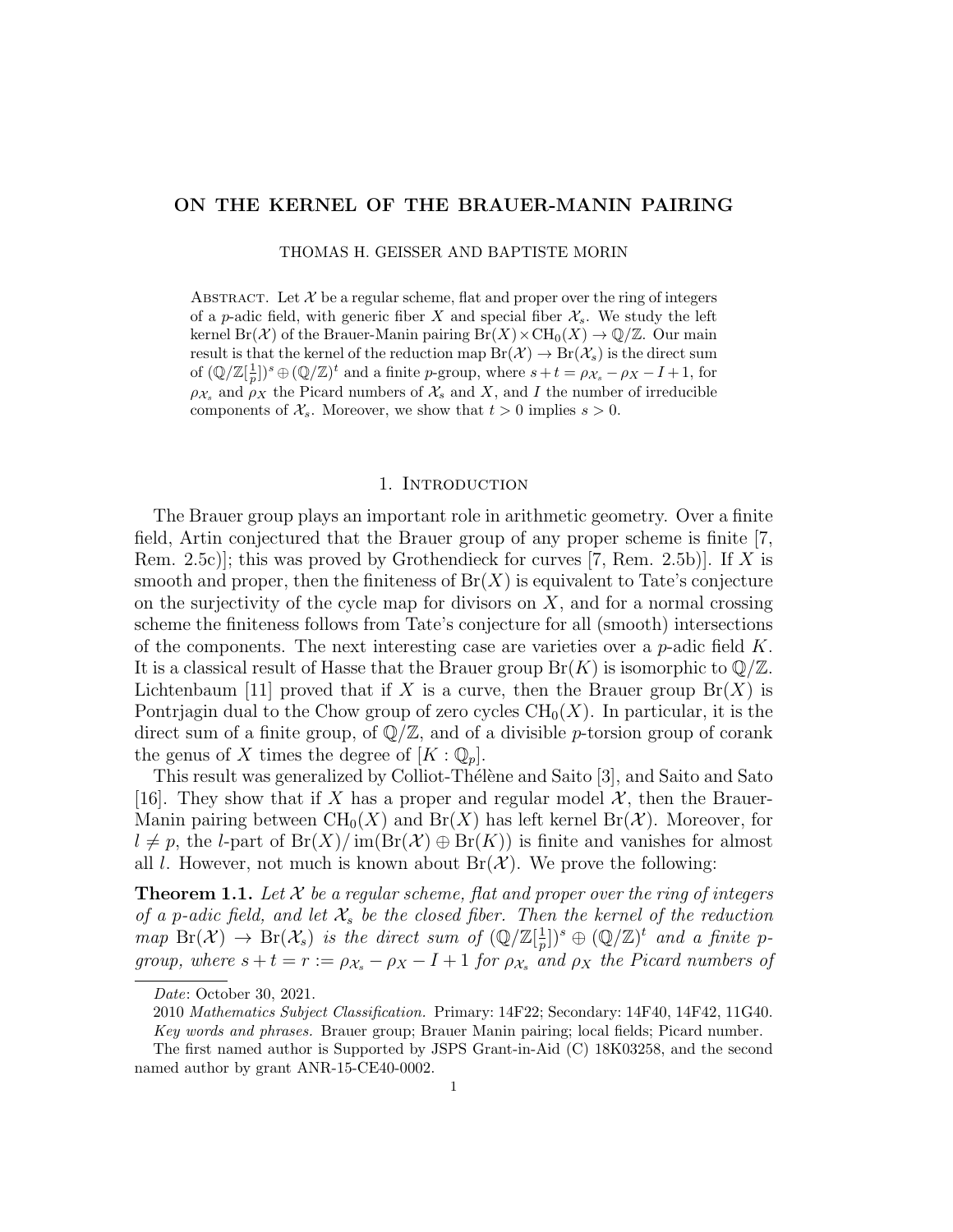# ON THE KERNEL OF THE BRAUER-MANIN PAIRING

THOMAS H. GEISSER AND BAPTISTE MORIN

ABSTRACT. Let  $X$  be a regular scheme, flat and proper over the ring of integers of a p-adic field, with generic fiber X and special fiber  $\mathcal{X}_s$ . We study the left kernel Br(X) of the Brauer-Manin pairing  $Br(X) \times CH_0(X) \to \mathbb{Q}/\mathbb{Z}$ . Our main result is that the kernel of the reduction map  $Br(\mathcal{X}) \to Br(\mathcal{X}_s)$  is the direct sum of  $(\mathbb{Q}/\mathbb{Z}[\frac{1}{p}])^s \oplus (\mathbb{Q}/\mathbb{Z})^t$  and a finite p-group, where  $s+t = \rho_{\mathcal{X}_s} - \rho_X - I + 1$ , for  $\rho_{\mathcal{X}_s}$  and  $\rho_X$  the Picard numbers of  $\mathcal{X}_s$  and X, and I the number of irreducible components of  $\mathcal{X}_s$ . Moreover, we show that  $t > 0$  implies  $s > 0$ .

#### 1. INTRODUCTION

The Brauer group plays an important role in arithmetic geometry. Over a finite field, Artin conjectured that the Brauer group of any proper scheme is finite [7, Rem. 2.5c)]; this was proved by Grothendieck for curves  $(7, \text{Rem. } 2.5b)$ ]. If X is smooth and proper, then the finiteness of  $Br(X)$  is equivalent to Tate's conjecture on the surjectivity of the cycle map for divisors on  $X$ , and for a normal crossing scheme the finiteness follows from Tate's conjecture for all (smooth) intersections of the components. The next interesting case are varieties over a  $p$ -adic field  $K$ . It is a classical result of Hasse that the Brauer group  $Br(K)$  is isomorphic to  $\mathbb{Q}/\mathbb{Z}$ . Lichtenbaum [11] proved that if X is a curve, then the Brauer group  $Br(X)$  is Pontriagin dual to the Chow group of zero cycles  $CH_0(X)$ . In particular, it is the direct sum of a finite group, of  $\mathbb{Q}/\mathbb{Z}$ , and of a divisible *p*-torsion group of corank the genus of X times the degree of  $[K:\mathbb{Q}_p]$ .

This result was generalized by Colliot-Thélène and Saito [3], and Saito and Sato [16]. They show that if X has a proper and regular model  $\mathcal{X}$ , then the Brauer-Manin pairing between  $\text{CH}_0(X)$  and  $\text{Br}(X)$  has left kernel  $\text{Br}(\mathcal{X})$ . Moreover, for  $l \neq p$ , the l-part of  $Br(X)/\text{im}(Br(X) \oplus Br(K))$  is finite and vanishes for almost all l. However, not much is known about  $Br(X)$ . We prove the following:

**Theorem 1.1.** Let X be a regular scheme, flat and proper over the ring of integers of a p-adic field, and let  $\mathcal{X}_s$  be the closed fiber. Then the kernel of the reduction  $map\ \text{Br}(\mathcal{X}) \rightarrow \text{Br}(\mathcal{X}_s)$  is the direct sum of  $(\mathbb{Q}/\mathbb{Z}[\frac{1}{n}])$  $(\frac{1}{p})^s \oplus (\mathbb{Q}/\mathbb{Z})^t$  and a finite pgroup, where  $s + t = r := \rho_{\mathcal{X}_s} - \rho_X - I + 1$  for  $\rho_{\mathcal{X}_s}$  and  $\rho_X$  the Picard numbers of

Date: October 30, 2021.

<sup>2010</sup> Mathematics Subject Classification. Primary: 14F22; Secondary: 14F40, 14F42, 11G40.

Key words and phrases. Brauer group; Brauer Manin pairing; local fields; Picard number.

The first named author is Supported by JSPS Grant-in-Aid (C) 18K03258, and the second named author by grant ANR-15-CE40-0002.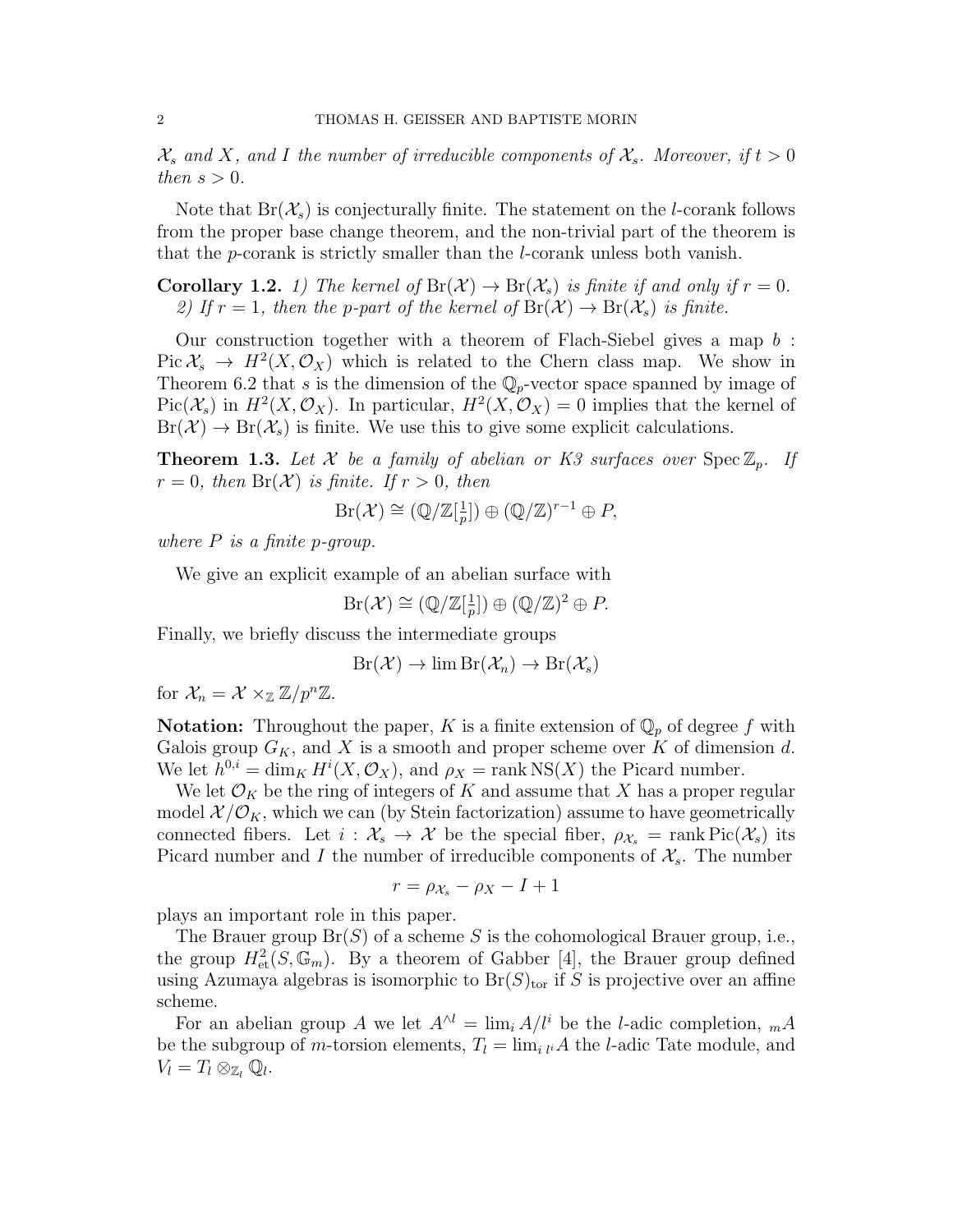$\mathcal{X}_s$  and X, and I the number of irreducible components of  $\mathcal{X}_s$ . Moreover, if  $t > 0$ then  $s > 0$ .

Note that  $Br(\mathcal{X}_s)$  is conjecturally finite. The statement on the *l*-corank follows from the proper base change theorem, and the non-trivial part of the theorem is that the p-corank is strictly smaller than the l-corank unless both vanish.

**Corollary 1.2.** 1) The kernel of  $Br(X) \to Br(X_s)$  is finite if and only if  $r = 0$ . 2) If  $r = 1$ , then the p-part of the kernel of  $Br(X) \to Br(X_s)$  is finite.

Our construction together with a theorem of Flach-Siebel gives a map b :  $Pic X_s \to H^2(X, \mathcal{O}_X)$  which is related to the Chern class map. We show in Theorem 6.2 that s is the dimension of the  $\mathbb{Q}_p$ -vector space spanned by image of  $Pic(\mathcal{X}_s)$  in  $H^2(X,\mathcal{O}_X)$ . In particular,  $H^2(X,\mathcal{O}_X) = 0$  implies that the kernel of  $Br(\mathcal{X}) \to Br(\mathcal{X}_s)$  is finite. We use this to give some explicit calculations.

**Theorem 1.3.** Let X be a family of abelian or K3 surfaces over  $Spec \mathbb{Z}_p$ . If  $r = 0$ , then  $Br(X)$  is finite. If  $r > 0$ , then

> $Br(\mathcal{X}) \cong (\mathbb{Q}/\mathbb{Z}[\frac{1}{n}$  $\frac{1}{p}$ ])  $\oplus (\mathbb{Q}/\mathbb{Z})^{r-1} \oplus P$ ,

where  $P$  is a finite p-group.

We give an explicit example of an abelian surface with

$$
Br(\mathcal{X}) \cong (\mathbb{Q}/\mathbb{Z}[\frac{1}{p}]) \oplus (\mathbb{Q}/\mathbb{Z})^2 \oplus P.
$$

Finally, we briefly discuss the intermediate groups

$$
Br(\mathcal{X}) \to \lim Br(\mathcal{X}_n) \to Br(\mathcal{X}_s)
$$

for  $\mathcal{X}_n = \mathcal{X} \times_{\mathbb{Z}} \mathbb{Z}/p^n \mathbb{Z}$ .

**Notation:** Throughout the paper, K is a finite extension of  $\mathbb{Q}_p$  of degree f with Galois group  $G_K$ , and X is a smooth and proper scheme over K of dimension d. We let  $h^{0,i} = \dim_K H^i(X, \mathcal{O}_X)$ , and  $\rho_X = \text{rank} NS(X)$  the Picard number.

We let  $\mathcal{O}_K$  be the ring of integers of K and assume that X has a proper regular model  $\mathcal{X}/\mathcal{O}_K$ , which we can (by Stein factorization) assume to have geometrically connected fibers. Let  $i : \mathcal{X}_s \to \mathcal{X}$  be the special fiber,  $\rho_{\mathcal{X}_s} = \text{rank Pic}(\mathcal{X}_s)$  its Picard number and I the number of irreducible components of  $\mathcal{X}_s$ . The number

$$
r = \rho_{\mathcal{X}_s} - \rho_X - I + 1
$$

plays an important role in this paper.

The Brauer group  $Br(S)$  of a scheme S is the cohomological Brauer group, i.e., the group  $H^2_{\text{et}}(S, \mathbb{G}_m)$ . By a theorem of Gabber [4], the Brauer group defined using Azumaya algebras is isomorphic to  $Br(S)_{tor}$  if S is projective over an affine scheme.

For an abelian group A we let  $A^{\wedge l} = \lim_i A/l^i$  be the l-adic completion,  ${}_{m}A$ be the subgroup of *m*-torsion elements,  $T_l = \lim_{i \downarrow l} A$  the *l*-adic Tate module, and  $V_l = T_l \otimes_{\mathbb{Z}_l} \mathbb{Q}_l.$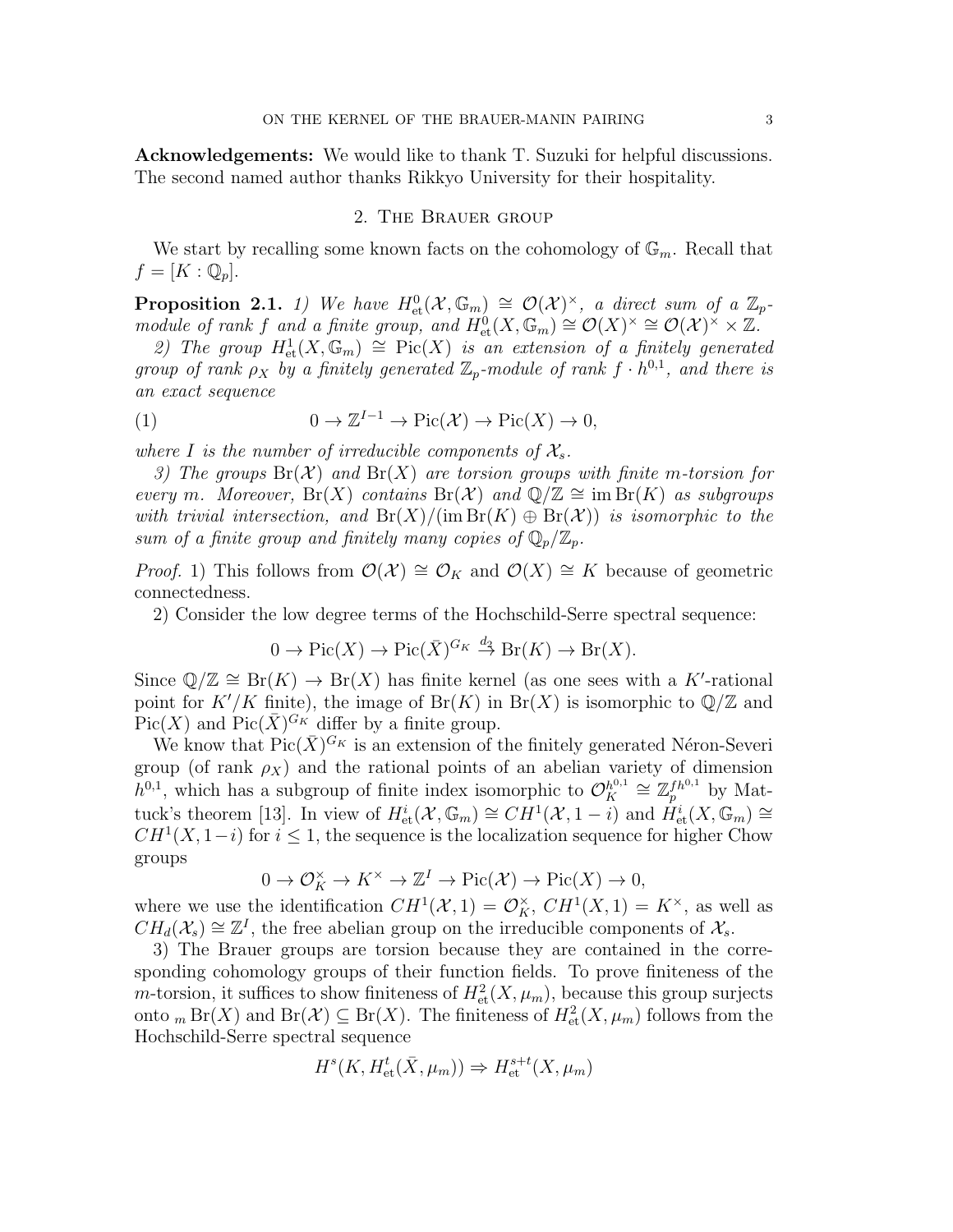Acknowledgements: We would like to thank T. Suzuki for helpful discussions. The second named author thanks Rikkyo University for their hospitality.

#### 2. The Brauer group

We start by recalling some known facts on the cohomology of  $\mathbb{G}_m$ . Recall that  $f=[K:\mathbb{Q}_p].$ 

**Proposition 2.1.** 1) We have  $H^0_{\text{et}}(\mathcal{X}, \mathbb{G}_m) \cong \mathcal{O}(\mathcal{X})^{\times}$ , a direct sum of a  $\mathbb{Z}_p$ module of rank f and a finite group, and  $H^0_{\text{\rm et}}(X,\mathbb{G}_m) \cong \mathcal{O}(X)^\times \cong \mathcal{O}(\mathcal{X})^\times \times \mathbb{Z}$ .

2) The group  $H^1_{\text{et}}(X,\mathbb{G}_m) \cong \text{Pic}(X)$  is an extension of a finitely generated group of rank  $\rho_X$  by a finitely generated  $\mathbb{Z}_p$ -module of rank  $f \cdot h^{0,1}$ , and there is an exact sequence

(1) 
$$
0 \to \mathbb{Z}^{I-1} \to \mathrm{Pic}(\mathcal{X}) \to \mathrm{Pic}(X) \to 0,
$$

where I is the number of irreducible components of  $\mathcal{X}_s$ .

3) The groups  $Br(X)$  and  $Br(X)$  are torsion groups with finite m-torsion for every m. Moreover,  $Br(X)$  contains  $Br(X)$  and  $\mathbb{Q}/\mathbb{Z} \cong \text{im} Br(K)$  as subgroups with trivial intersection, and  $Br(X)/(\text{im }Br(K) \oplus Br(X))$  is isomorphic to the sum of a finite group and finitely many copies of  $\mathbb{Q}_p/\mathbb{Z}_p$ .

*Proof.* 1) This follows from  $\mathcal{O}(\mathcal{X}) \cong \mathcal{O}_K$  and  $\mathcal{O}(X) \cong K$  because of geometric connectedness.

2) Consider the low degree terms of the Hochschild-Serre spectral sequence:

 $0 \to Pic(X) \to Pic(\bar{X})^{G_K} \stackrel{d_2}{\to} Br(K) \to Br(X).$ 

Since  $\mathbb{Q}/\mathbb{Z} \cong \text{Br}(K) \to \text{Br}(X)$  has finite kernel (as one sees with a K'-rational point for  $K'/K$  finite), the image of  $Br(K)$  in  $Br(X)$  is isomorphic to  $\mathbb{Q}/\mathbb{Z}$  and  $Pic(X)$  and  $Pic(\bar{X})^{G_K}$  differ by a finite group.

We know that  $Pic(\bar{X})^{G_K}$  is an extension of the finitely generated Néron-Severi group (of rank  $\rho_X$ ) and the rational points of an abelian variety of dimension  $h^{0,1}$ , which has a subgroup of finite index isomorphic to  $\mathcal{O}_{K}^{h^{0,1}}$  $\chi_K^{h^{0,1}} \cong \mathbb{Z}_p^{fh^{0,1}}$  by Mattuck's theorem [13]. In view of  $H^i_{\text{et}}(\mathcal{X}, \mathbb{G}_m) \cong CH^1(\mathcal{X}, 1-i)$  and  $H^i_{\text{et}}(X, \mathbb{G}_m) \cong$  $CH<sup>1</sup>(X, 1-i)$  for  $i \leq 1$ , the sequence is the localization sequence for higher Chow groups

$$
0 \to \mathcal{O}_K^{\times} \to K^{\times} \to \mathbb{Z}^I \to Pic(\mathcal{X}) \to Pic(X) \to 0,
$$

where we use the identification  $CH^1(\mathcal{X}, 1) = \mathcal{O}_K^{\times}$ ,  $CH^1(X, 1) = K^{\times}$ , as well as  $CH_d(\mathcal{X}_s) \cong \mathbb{Z}^I$ , the free abelian group on the irreducible components of  $\mathcal{X}_s$ .

3) The Brauer groups are torsion because they are contained in the corresponding cohomology groups of their function fields. To prove finiteness of the *m*-torsion, it suffices to show finiteness of  $H^2_{\text{et}}(X, \mu_m)$ , because this group surjects onto  $_m Br(X)$  and  $Br(X) \subseteq Br(X)$ . The finiteness of  $H^2_{\text{et}}(X, \mu_m)$  follows from the Hochschild-Serre spectral sequence

$$
H^s(K, H^t_{\text{et}}(\bar{X}, \mu_m)) \Rightarrow H^{s+t}_{\text{et}}(X, \mu_m)
$$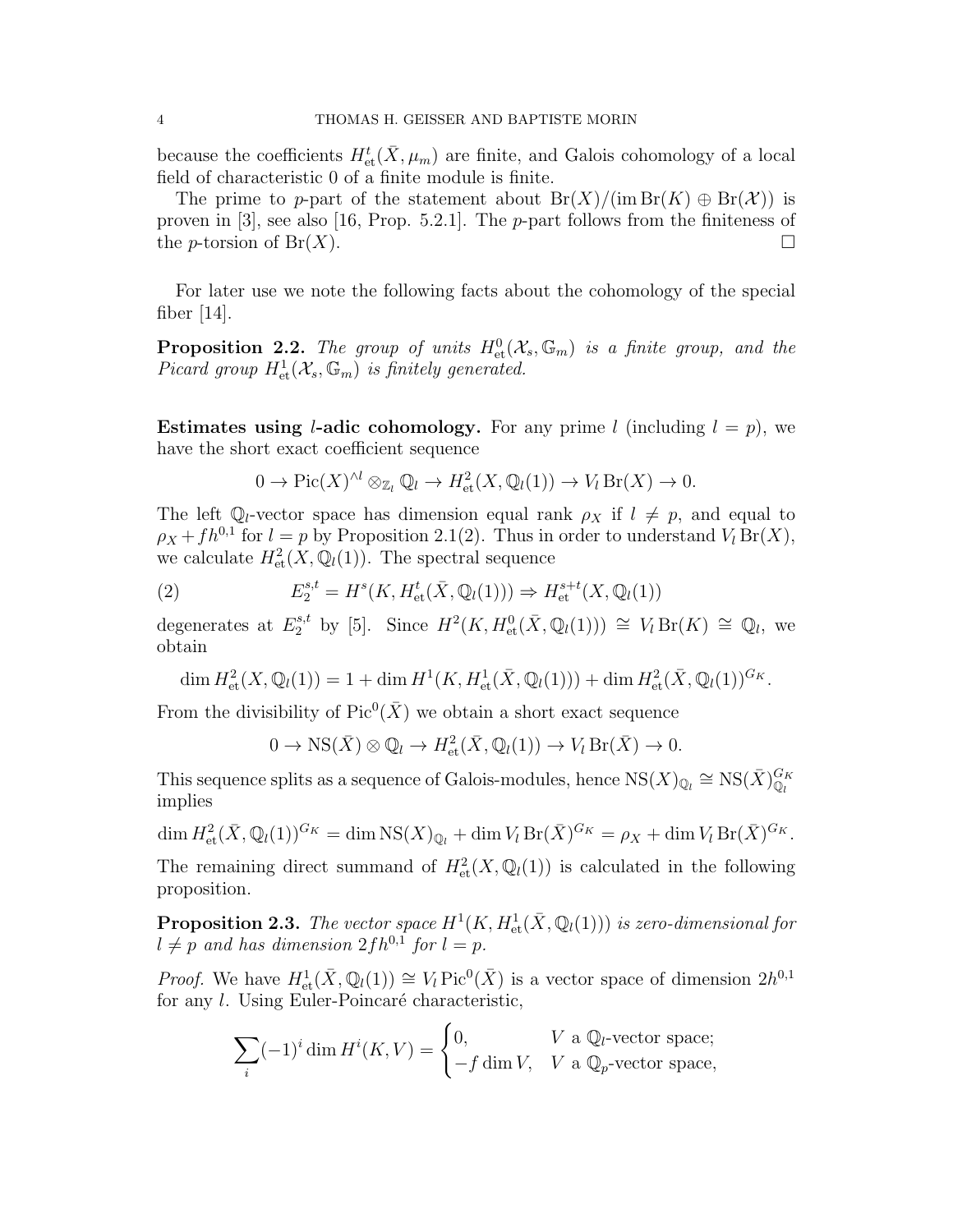because the coefficients  $H^t_{\text{et}}(\bar{X}, \mu_m)$  are finite, and Galois cohomology of a local field of characteristic 0 of a finite module is finite.

The prime to p-part of the statement about  $Br(X)/(\text{im }Br(K) \oplus Br(X))$  is proven in [3], see also [16, Prop. 5.2.1]. The  $p$ -part follows from the finiteness of the *p*-torsion of Br(X).

For later use we note the following facts about the cohomology of the special fiber [14].

**Proposition 2.2.** The group of units  $H^0_{\text{et}}(\mathcal{X}_s, \mathbb{G}_m)$  is a finite group, and the Picard group  $H^1_{\text{\rm et}}(\mathcal X_s,\mathbb G_m)$  is finitely generated.

**Estimates using l-adic cohomology.** For any prime l (including  $l = p$ ), we have the short exact coefficient sequence

$$
0 \to Pic(X)^{\wedge l} \otimes_{\mathbb{Z}_l} \mathbb{Q}_l \to H^2_{\text{et}}(X, \mathbb{Q}_l(1)) \to V_l \operatorname{Br}(X) \to 0.
$$

The left  $\mathbb{Q}_l$ -vector space has dimension equal rank  $\rho_X$  if  $l \neq p$ , and equal to  $\rho_X + fh^{0,1}$  for  $l = p$  by Proposition 2.1(2). Thus in order to understand  $V_l Br(X)$ , we calculate  $H^2_{\text{et}}(X, \mathbb{Q}_l(1))$ . The spectral sequence

(2) 
$$
E_2^{s,t} = H^s(K, H^t_{\text{et}}(\bar{X}, \mathbb{Q}_l(1))) \Rightarrow H_{\text{et}}^{s+t}(X, \mathbb{Q}_l(1))
$$

degenerates at  $E_2^{s,t}$  by [5]. Since  $H^2(K, H^0_{\text{et}}(\bar{X}, \mathbb{Q}_l(1))) \cong V_l \operatorname{Br}(K) \cong \mathbb{Q}_l$ , we obtain

dim  $H^2_{\text{et}}(X, \mathbb{Q}_l(1)) = 1 + \dim H^1(K, H^1_{\text{et}}(\bar{X}, \mathbb{Q}_l(1))) + \dim H^2_{\text{et}}(\bar{X}, \mathbb{Q}_l(1))^{G_K}.$ 

From the divisibility of  $Pic^0(\bar{X})$  we obtain a short exact sequence

$$
0 \to \text{NS}(\bar{X}) \otimes \mathbb{Q}_l \to H^2_{\text{et}}(\bar{X}, \mathbb{Q}_l(1)) \to V_l \operatorname{Br}(\bar{X}) \to 0.
$$

This sequence splits as a sequence of Galois-modules, hence  $NS(X)_{\mathbb{Q}_l} \cong NS(\bar{X})_{\mathbb{Q}_l}^{G_K}$ implies

$$
\dim H^2_{\text{et}}(\bar{X}, \mathbb{Q}_l(1))^{G_K} = \dim \text{NS}(X)_{\mathbb{Q}_l} + \dim V_l \operatorname{Br}(\bar{X})^{G_K} = \rho_X + \dim V_l \operatorname{Br}(\bar{X})^{G_K}.
$$

The remaining direct summand of  $H^2_{\text{et}}(X, \mathbb{Q}_l(1))$  is calculated in the following proposition.

**Proposition 2.3.** The vector space  $H^1(K, H^1_{\text{\rm et}}(\bar X,{\mathbb Q}_l(1)))$  is zero-dimensional for  $l \neq p$  and has dimension  $2fh^{0,1}$  for  $l = p$ .

*Proof.* We have  $H^1_{\text{et}}(\bar{X}, \mathbb{Q}_l(1)) \cong V_l \operatorname{Pic}^0(\bar{X})$  is a vector space of dimension  $2h^{0,1}$ for any  $l$ . Using Euler-Poincaré characteristic,

$$
\sum_{i} (-1)^{i} \dim H^{i}(K, V) = \begin{cases} 0, & V \text{ a } \mathbb{Q}_{l} \text{-vector space;} \\ -f \dim V, & V \text{ a } \mathbb{Q}_{p} \text{-vector space,} \end{cases}
$$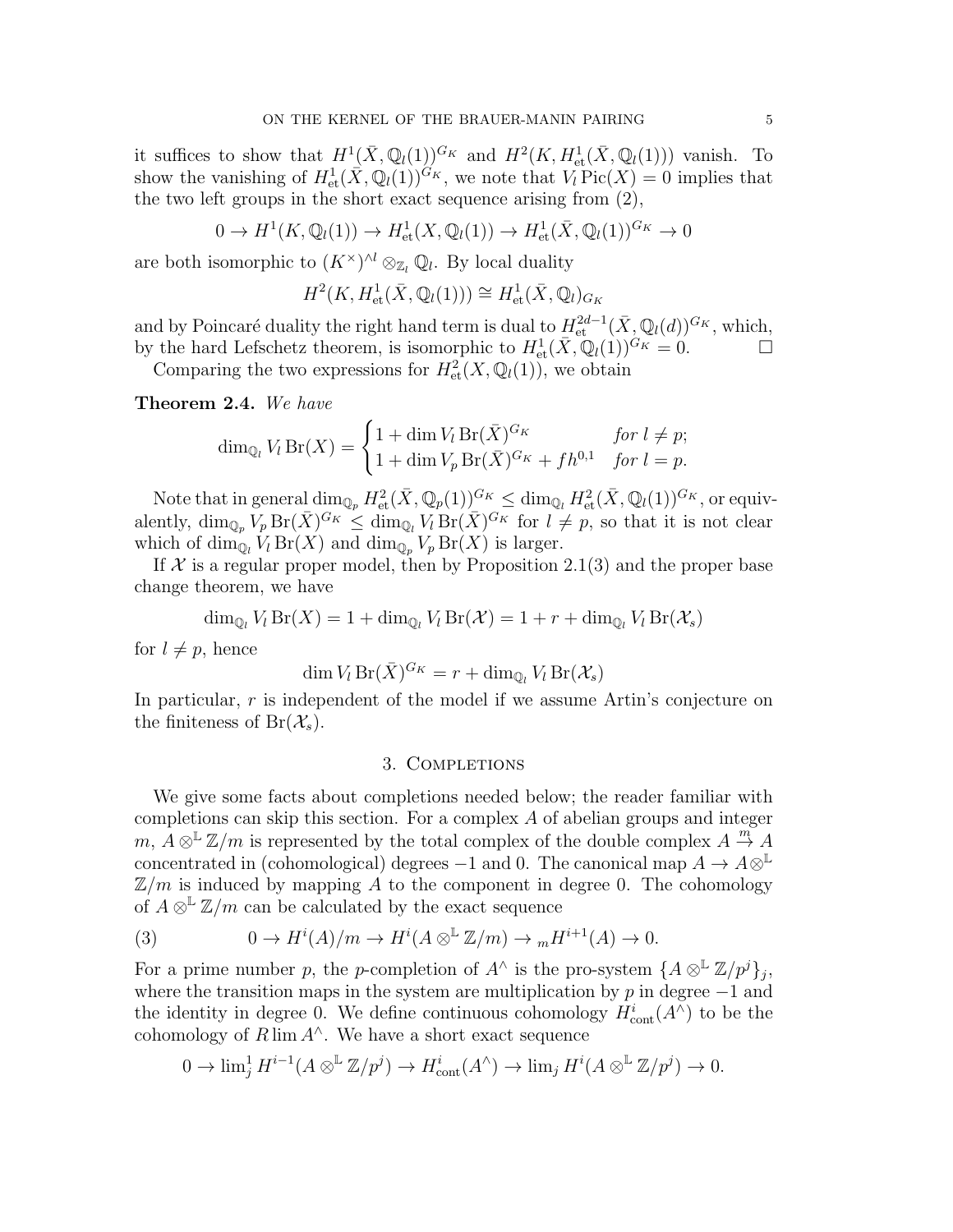it suffices to show that  $H^1(\bar{X}, \mathbb{Q}_l(1))^{G_K}$  and  $H^2(K, H^1_{\text{\rm et}}(\bar{X}, \mathbb{Q}_l(1)))$  vanish. To show the vanishing of  $H^1_{\text{et}}(\tilde{X}, \mathbb{Q}_l(1))^{G_K}$ , we note that  $V_l \text{Pic}(X) = 0$  implies that the two left groups in the short exact sequence arising from (2),

$$
0 \to H^1(K, \mathbb{Q}_l(1)) \to H^1_{\text{et}}(X, \mathbb{Q}_l(1)) \to H^1_{\text{et}}(\bar{X}, \mathbb{Q}_l(1))^{G_K} \to 0
$$

are both isomorphic to  $(K^{\times})^{\wedge l} \otimes_{\mathbb{Z}_l} \mathbb{Q}_l$ . By local duality

$$
H^2(K, H^1_{\text{et}}(\bar{X}, \mathbb{Q}_l(1))) \cong H^1_{\text{et}}(\bar{X}, \mathbb{Q}_l)_{G_K}
$$

and by Poincaré duality the right hand term is dual to  $H^{2d-1}_{\text{et}}(\bar{X}, \mathbb{Q}_l(d))^{G_K}$ , which, by the hard Lefschetz theorem, is isomorphic to  $H^1_{\text{et}}(\bar{X}, \mathbb{Q}_l(1))^{G_K} = 0.$ 

Comparing the two expressions for  $H^2_{\text{et}}(X,\mathbb{Q}_l(1))$ , we obtain

Theorem 2.4. We have

$$
\dim_{\mathbb{Q}_l} V_l \operatorname{Br}(X) = \begin{cases} 1 + \dim V_l \operatorname{Br}(\bar{X})^{G_K} & \text{for } l \neq p; \\ 1 + \dim V_p \operatorname{Br}(\bar{X})^{G_K} + f h^{0,1} & \text{for } l = p. \end{cases}
$$

Note that in general  $\dim_{\mathbb{Q}_p} H^2_{\text{et}}(\bar{X}, \mathbb{Q}_p(1))^{G_K} \leq \dim_{\mathbb{Q}_l} H^2_{\text{et}}(\bar{X}, \mathbb{Q}_l(1))^{G_K}$ , or equivalently,  $\dim_{\mathbb{Q}_p} V_p \operatorname{Br}(\bar{X})^{G_K} \leq \dim_{\mathbb{Q}_l} V_l \operatorname{Br}(\bar{X})^{G_K}$  for  $l \neq p$ , so that it is not clear which of  $\dim_{\mathbb{Q}_l} V_l \operatorname{Br}(X)$  and  $\dim_{\mathbb{Q}_p} V_p \operatorname{Br}(X)$  is larger.

If  $X$  is a regular proper model, then by Proposition 2.1(3) and the proper base change theorem, we have

$$
\dim_{\mathbb{Q}_l} V_l \operatorname{Br}(X) = 1 + \dim_{\mathbb{Q}_l} V_l \operatorname{Br}(\mathcal{X}) = 1 + r + \dim_{\mathbb{Q}_l} V_l \operatorname{Br}(\mathcal{X}_s)
$$

for  $l \neq p$ , hence

$$
\dim V_l \operatorname{Br}(\bar{X})^{G_K} = r + \dim_{\mathbb{Q}_l} V_l \operatorname{Br}(\mathcal{X}_s)
$$

In particular, r is independent of the model if we assume Artin's conjecture on the finiteness of  $Br(\mathcal{X}_s)$ .

### 3. COMPLETIONS

We give some facts about completions needed below; the reader familiar with completions can skip this section. For a complex A of abelian groups and integer  $m, A\otimes^{\mathbb{L}} \mathbb{Z}/m$  is represented by the total complex of the double complex  $A \stackrel{m}{\to} A$ concentrated in (cohomological) degrees  $-1$  and 0. The canonical map  $A \to A \otimes^{\mathbb{L}}$  $\mathbb{Z}/m$  is induced by mapping A to the component in degree 0. The cohomology of  $A \otimes^{\mathbb{L}} \mathbb{Z}/m$  can be calculated by the exact sequence

(3) 
$$
0 \to H^{i}(A)/m \to H^{i}(A \otimes^{\mathbb{L}} \mathbb{Z}/m) \to {}_{m}H^{i+1}(A) \to 0.
$$

For a prime number p, the p-completion of  $A^{\wedge}$  is the pro-system  $\{A\otimes^{\mathbb{L}}\mathbb{Z}/p^{j}\}_j$ , where the transition maps in the system are multiplication by  $p$  in degree  $-1$  and the identity in degree 0. We define continuous cohomology  $H_{\text{cont}}^{i}(A^{\wedge})$  to be the cohomology of  $R \lim A^{\wedge}$ . We have a short exact sequence

$$
0 \to \lim_{j} H^{i-1}(A\otimes^{\mathbb{L}} \mathbb{Z}/p^{j}) \to H^{i}_{cont}(A^{\wedge}) \to \lim_{j} H^{i}(A\otimes^{\mathbb{L}} \mathbb{Z}/p^{j}) \to 0.
$$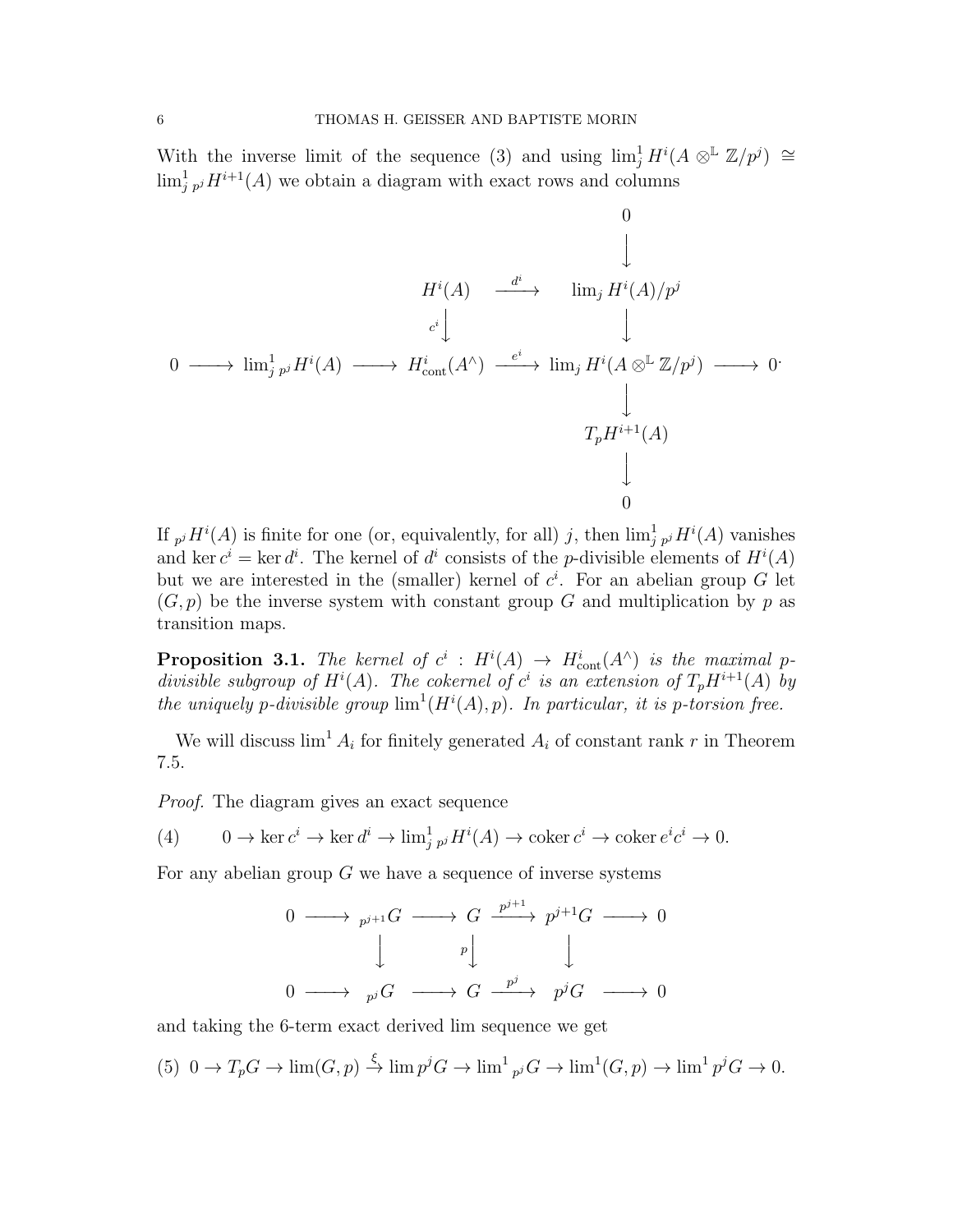With the inverse limit of the sequence (3) and using  $\lim_{j} H^{i}(A \otimes^{\mathbb{L}} \mathbb{Z}/p^{j}) \cong$  $\lim_{j \to j} H^{i+1}(A)$  we obtain a diagram with exact rows and columns

$$
\begin{array}{ccccccc}\n & & & & & & 0 & & & \\
 & & & & & & \downarrow & & & \\
 & & & & & & \downarrow & & & \\
0 & \longrightarrow & \lim_{j} p^{j} H^{i}(A) & \longrightarrow & H^{i}_{\text{cont}}(A^{\wedge}) & \xrightarrow{e^{i}} & \lim_{j} H^{i}(A \otimes^{\mathbb{L}} \mathbb{Z}/p^{j}) & \longrightarrow & 0 \\
 & & & & & \downarrow & & & \\
 & & & & & \downarrow & & & \\
 & & & & & \downarrow & & & \\
 & & & & & & \downarrow & & & \\
 & & & & & & \downarrow & & & \\
 & & & & & & \downarrow & & & \\
 & & & & & & \downarrow & & & \\
 & & & & & & \downarrow & & & \\
 & & & & & & \downarrow & & & \\
 & & & & & & \downarrow & & & \\
 & & & & & & \downarrow & & & \\
 & & & & & & \downarrow & & & \\
 & & & & & & \downarrow & & & \\
 & & & & & & & \downarrow & & & \\
 & & & & & & & \downarrow & & & \\
 & & & & & & & \downarrow & & & \\
 & & & & & & & \downarrow & & & \\
 & & & & & & & \downarrow & & & & \\
 & & & & & & & \downarrow & & & & \\
 & & & & & & & \downarrow & & & & \\
 & & & & & & & \downarrow & & & & \\
 & & & & & & & \downarrow & & & & \\
 & & & & & & & \downarrow & & & & \\
 & & & & & & & \downarrow & & & & \\
 & & & & & & & & \downarrow & & & & \\
 & & & & & & & & \downarrow & & & & \\
 & & & & & & & & \downarrow & & & & \\
 & & & & & & & & \downarrow & & & & & \\
 & & & & & & & & \downarrow & & & & & \\
 & & & & & & & & & \downarrow & & & & & \\
\end{array}
$$

If  $_{p}jH^{i}(A)$  is finite for one (or, equivalently, for all) j, then  $\lim_{j}^{1}{}_{p}jH^{i}(A)$  vanishes and ker  $c^i = \text{ker } d^i$ . The kernel of  $d^i$  consists of the *p*-divisible elements of  $H^i(A)$ but we are interested in the (smaller) kernel of  $c^i$ . For an abelian group G let  $(G, p)$  be the inverse system with constant group G and multiplication by p as transition maps.

**Proposition 3.1.** The kernel of  $c^i$  :  $H^i(A) \rightarrow H^i_{cont}(A^{\wedge})$  is the maximal pdivisible subgroup of  $H^{i}(A)$ . The cokernel of  $c^{i}$  is an extension of  $T_{p}H^{i+1}(A)$  by the uniquely p-divisible group  $\lim^1(H^i(A), p)$ . In particular, it is p-torsion free.

We will discuss  $\lim^1 A_i$  for finitely generated  $A_i$  of constant rank r in Theorem 7.5.

Proof. The diagram gives an exact sequence

(4) 
$$
0 \to \ker c^i \to \ker d^i \to \lim_{j \to i} H^i(A) \to \operatorname{coker} c^i \to \operatorname{coker} e^i c^i \to 0.
$$

For any abelian group  $G$  we have a sequence of inverse systems

$$
\begin{array}{ccccccc}\n0 & \longrightarrow & p^{j+1}G & \longrightarrow & G & \xrightarrow{p^{j+1}} & p^{j+1}G & \longrightarrow & 0 \\
 & & & & & & & \\
 & & & & & & & \\
0 & \longrightarrow & & & & & & & \\
0 & \longrightarrow & & & & & & & \\
\end{array}
$$

and taking the 6-term exact derived lim sequence we get

(5) 
$$
0 \to T_p G \to \lim(G, p) \xrightarrow{\xi} \lim p^j G \to \lim^1_{p^j} G \to \lim^1(G, p) \to \lim^1 p^j G \to 0.
$$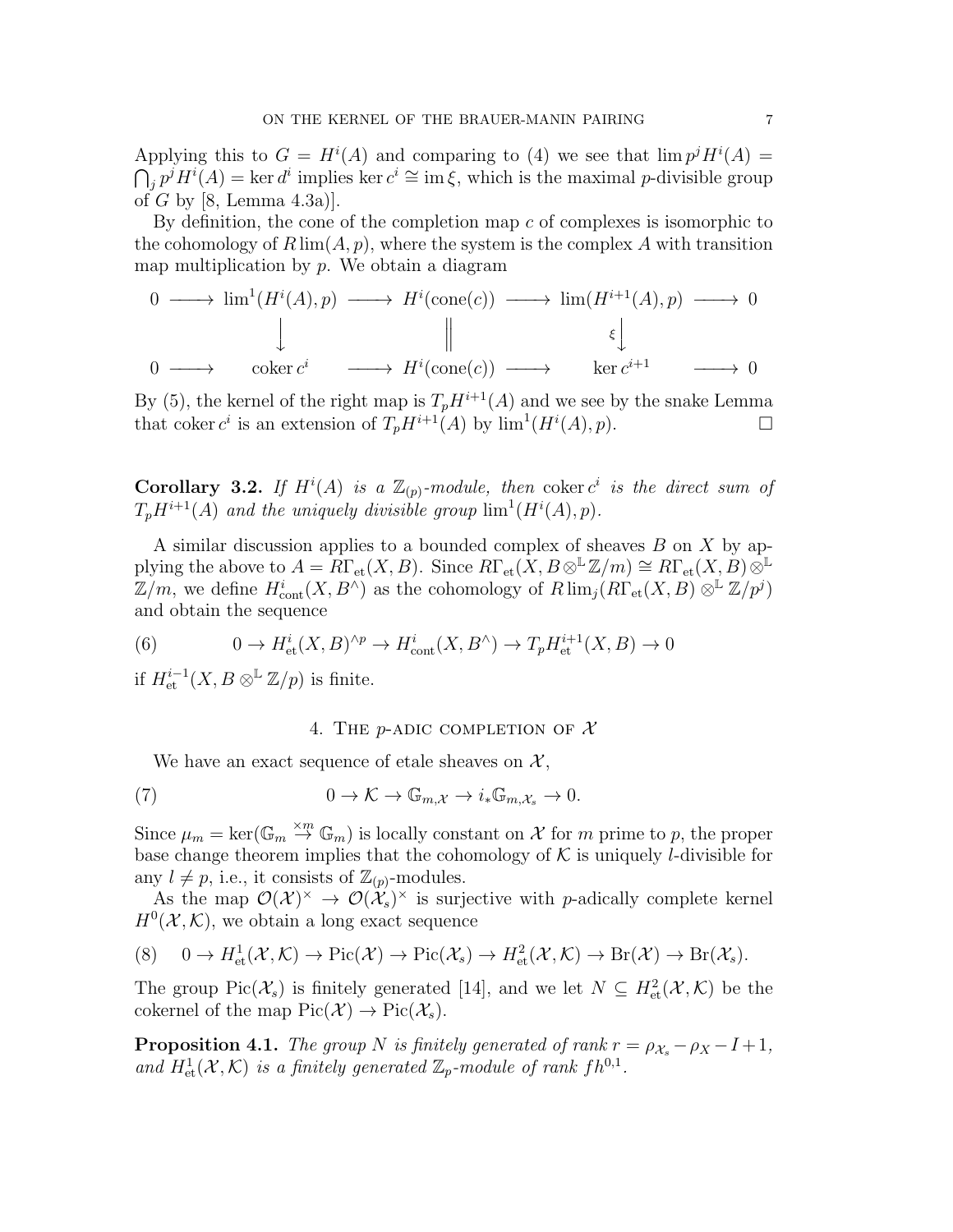Applying this to  $G = H^{i}(A)$  and comparing to (4) we see that  $\lim p^{j}H^{i}(A) =$  $\bigcap_{j} p^{j} H^{i}(A) = \ker d^{i}$  implies ker  $c^{i} \cong \operatorname{im} \xi$ , which is the maximal p-divisible group of G by [8, Lemma 4.3a)].

By definition, the cone of the completion map  $c$  of complexes is isomorphic to the cohomology of  $R \lim(A, p)$ , where the system is the complex A with transition map multiplication by  $p$ . We obtain a diagram

$$
0 \longrightarrow \lim^{1}(H^{i}(A), p) \longrightarrow H^{i}(\text{cone}(c)) \longrightarrow \lim(H^{i+1}(A), p) \longrightarrow 0
$$
  
\n
$$
\downarrow \qquad \qquad \downarrow \qquad \qquad \downarrow \qquad \qquad \downarrow
$$
  
\n
$$
0 \longrightarrow \qquad \text{coker } c^{i} \longrightarrow H^{i}(\text{cone}(c)) \longrightarrow \qquad \text{ker } c^{i+1} \longrightarrow 0
$$

By (5), the kernel of the right map is  $T_pH^{i+1}(A)$  and we see by the snake Lemma that coker  $c^i$  is an extension of  $T_p H^{i+1}(A)$  by  $\lim^1(H^i(A), p)$ .

**Corollary 3.2.** If  $H^{i}(A)$  is a  $\mathbb{Z}_{(p)}$ -module, then coker  $c^{i}$  is the direct sum of  $T_pH^{i+1}(A)$  and the uniquely divisible group  $\lim^1(H^{i}(A), p)$ .

A similar discussion applies to a bounded complex of sheaves  $B$  on  $X$  by applying the above to  $A = R\Gamma_{\text{et}}(X, B)$ . Since  $R\Gamma_{\text{et}}(X, B\otimes^{\mathbb{L}}\mathbb{Z}/m) \cong R\Gamma_{\text{et}}(X, B)\otimes^{\mathbb{L}}$  $\mathbb{Z}/m$ , we define  $H^i_{\text{cont}}(X, B)$  as the cohomology of  $R \lim_j (R \Gamma_{\text{et}}(X, B) \otimes^{\mathbb{L}} \mathbb{Z}/p^j)$ and obtain the sequence

(6) 
$$
0 \to H^i_{\text{et}}(X, B)^{\wedge p} \to H^i_{\text{cont}}(X, B^{\wedge}) \to T_p H^{i+1}_{\text{et}}(X, B) \to 0
$$

if  $H^{i-1}_{\text{\rm et}}(X,B\otimes^{\mathbb{L}}\mathbb{Z}/p)$  is finite.

## 4. THE *p*-ADIC COMPLETION OF  $\mathcal{X}$

We have an exact sequence of etale sheaves on  $\mathcal{X},$ 

(7) 
$$
0 \to \mathcal{K} \to \mathbb{G}_{m,\mathcal{X}} \to i_* \mathbb{G}_{m,\mathcal{X}_s} \to 0.
$$

Since  $\mu_m = \ker(\mathbb{G}_m \stackrel{\times m}{\to} \mathbb{G}_m)$  is locally constant on X for m prime to p, the proper base change theorem implies that the cohomology of  $K$  is uniquely *l*-divisible for any  $l \neq p$ , i.e., it consists of  $\mathbb{Z}_{(p)}$ -modules.

As the map  $\mathcal{O}(\mathcal{X})^{\times} \to \mathcal{O}(\mathcal{X}_s)^{\times}$  is surjective with p-adically complete kernel  $H^0(\mathcal{X},\mathcal{K})$ , we obtain a long exact sequence

$$
(8) \quad 0 \to H^1_{\text{et}}(\mathcal{X}, \mathcal{K}) \to \text{Pic}(\mathcal{X}) \to \text{Pic}(\mathcal{X}_s) \to H^2_{\text{et}}(\mathcal{X}, \mathcal{K}) \to \text{Br}(\mathcal{X}) \to \text{Br}(\mathcal{X}_s).
$$

The group Pic( $\mathcal{X}_s$ ) is finitely generated [14], and we let  $N \subseteq H^2_{\text{et}}(\mathcal{X}, \mathcal{K})$  be the cokernel of the map  $Pic(\mathcal{X}) \to Pic(\mathcal{X}_s)$ .

**Proposition 4.1.** The group N is finitely generated of rank  $r = \rho_{X_s} - \rho_X - I + 1$ , and  $H^1_{\text{\rm et}}(\mathcal X,\mathcal K)$  is a finitely generated  $\mathbb Z_p$ -module of rank  $fh^{0,1}$ .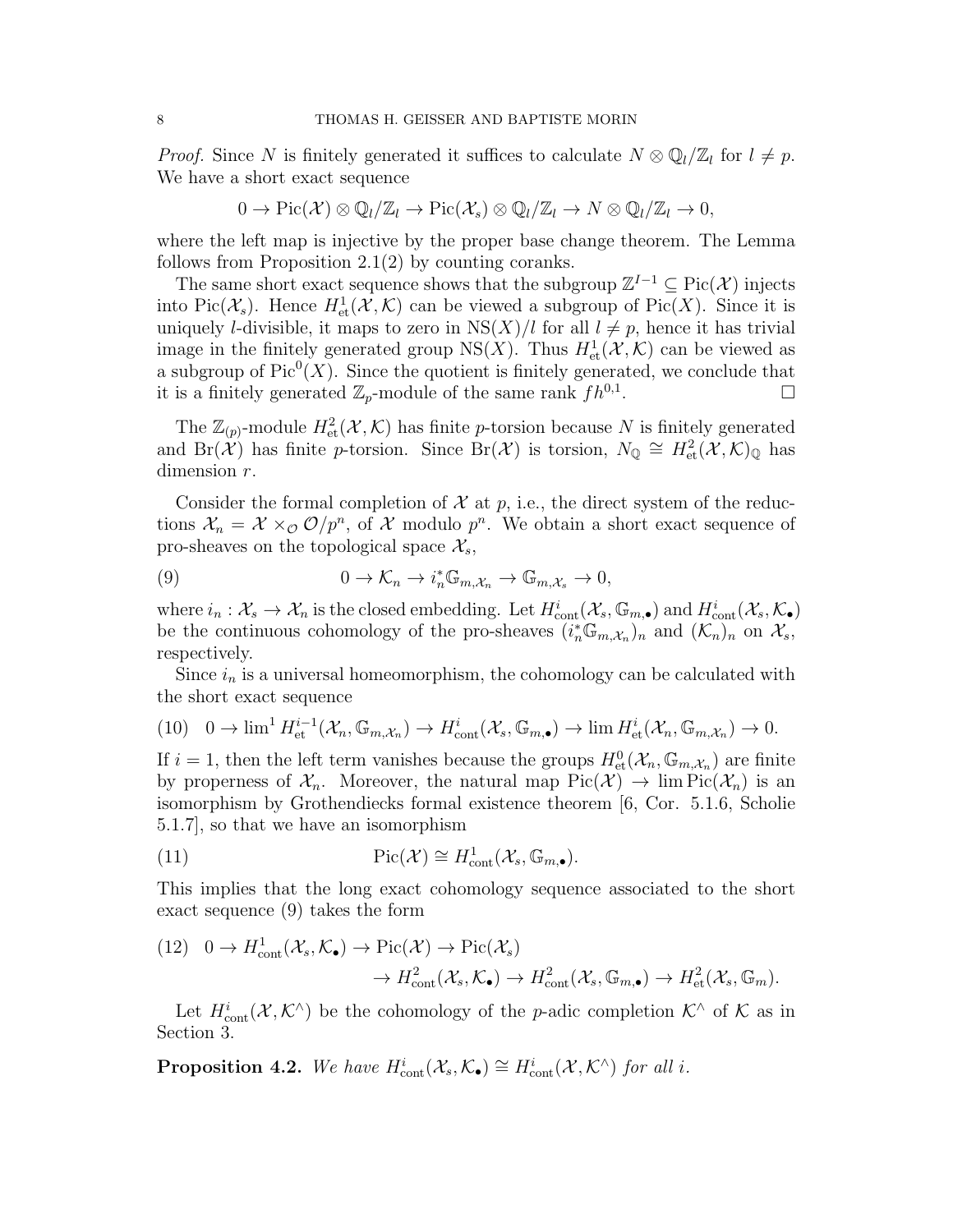*Proof.* Since N is finitely generated it suffices to calculate  $N \otimes \mathbb{Q}_l/\mathbb{Z}_l$  for  $l \neq p$ . We have a short exact sequence

$$
0 \to Pic(\mathcal{X}) \otimes \mathbb{Q}_l/\mathbb{Z}_l \to Pic(\mathcal{X}_s) \otimes \mathbb{Q}_l/\mathbb{Z}_l \to N \otimes \mathbb{Q}_l/\mathbb{Z}_l \to 0,
$$

where the left map is injective by the proper base change theorem. The Lemma follows from Proposition 2.1(2) by counting coranks.

The same short exact sequence shows that the subgroup  $\mathbb{Z}^{I-1} \subseteq Pic(\mathcal{X})$  injects into Pic( $\mathcal{X}_s$ ). Hence  $H^1_{\text{et}}(\mathcal{X}, \mathcal{K})$  can be viewed a subgroup of Pic(X). Since it is uniquely *l*-divisible, it maps to zero in  $NS(X)/l$  for all  $l \neq p$ , hence it has trivial image in the finitely generated group NS(X). Thus  $H^1_{\text{et}}(\mathcal{X}, \mathcal{K})$  can be viewed as a subgroup of  $Pic^0(X)$ . Since the quotient is finitely generated, we conclude that it is a finitely generated  $\mathbb{Z}_p$ -module of the same rank  $fh^{0,1}$ . .

The  $\mathbb{Z}_{(p)}$ -module  $H^2_{\text{\rm et}}(\mathcal{X}, \mathcal{K})$  has finite p-torsion because N is finitely generated and Br( $\chi$ ) has finite p-torsion. Since Br( $\mathcal{X}$ ) is torsion,  $N_{\mathbb{Q}} \cong H^2_{\text{et}}(\mathcal{X}, \mathcal{K})_{\mathbb{Q}}$  has dimension  $r$ .

Consider the formal completion of  $\mathcal X$  at p, i.e., the direct system of the reductions  $\mathcal{X}_n = \mathcal{X} \times_{\mathcal{O}} \mathcal{O}/p^n$ , of X modulo  $p^n$ . We obtain a short exact sequence of pro-sheaves on the topological space  $\mathcal{X}_s$ ,

(9) 
$$
0 \to \mathcal{K}_n \to i_n^* \mathbb{G}_{m, \mathcal{X}_n} \to \mathbb{G}_{m, \mathcal{X}_s} \to 0,
$$

where  $i_n : \mathcal{X}_s \to \mathcal{X}_n$  is the closed embedding. Let  $H^i_{\text{cont}}(\mathcal{X}_s, \mathbb{G}_{m,\bullet})$  and  $H^i_{\text{cont}}(\mathcal{X}_s, \mathcal{K}_\bullet)$ be the continuous cohomology of the pro-sheaves  $(i_n^* \mathbb{G}_{m,\mathcal{X}_n})_n$  and  $(\mathcal{K}_n)_n$  on  $\mathcal{X}_s$ , respectively.

Since  $i_n$  is a universal homeomorphism, the cohomology can be calculated with the short exact sequence

$$
(10) \quad 0 \to \lim^{1} H^{i-1}_{\text{et}}(\mathcal{X}_n, \mathbb{G}_{m, \mathcal{X}_n}) \to H^{i}_{\text{cont}}(\mathcal{X}_s, \mathbb{G}_{m, \bullet}) \to \lim H^{i}_{\text{et}}(\mathcal{X}_n, \mathbb{G}_{m, \mathcal{X}_n}) \to 0.
$$

If  $i = 1$ , then the left term vanishes because the groups  $H^0_{\text{\rm et}}(\mathcal{X}_n, \mathbb{G}_{m,\mathcal{X}_n})$  are finite by properness of  $\mathcal{X}_n$ . Moreover, the natural map  $Pic(\mathcal{X}) \to \lim Pic(\mathcal{X}_n)$  is an isomorphism by Grothendiecks formal existence theorem [6, Cor. 5.1.6, Scholie 5.1.7], so that we have an isomorphism

(11) 
$$
\operatorname{Pic}(\mathcal{X}) \cong H^1_{\text{cont}}(\mathcal{X}_s, \mathbb{G}_{m,\bullet}).
$$

This implies that the long exact cohomology sequence associated to the short exact sequence (9) takes the form

$$
(12) \quad 0 \to H_{\text{cont}}^1(\mathcal{X}_s, \mathcal{K}_\bullet) \to \text{Pic}(\mathcal{X}) \to \text{Pic}(\mathcal{X}_s) \to H_{\text{cont}}^2(\mathcal{X}_s, \mathcal{K}_\bullet) \to H_{\text{cont}}^2(\mathcal{X}_s, \mathbb{G}_{m,\bullet}) \to H_{\text{et}}^2(\mathcal{X}_s, \mathbb{G}_m).
$$

Let  $H^i_{\text{cont}}(\mathcal{X},\mathcal{K}^{\wedge})$  be the cohomology of the *p*-adic completion  $\mathcal{K}^{\wedge}$  of  $\mathcal{K}$  as in Section 3.

**Proposition 4.2.** We have  $H_{\text{cont}}^i(\mathcal{X}_s, \mathcal{K}_\bullet) \cong H_{\text{cont}}^i(\mathcal{X}, \mathcal{K}^\wedge)$  for all i.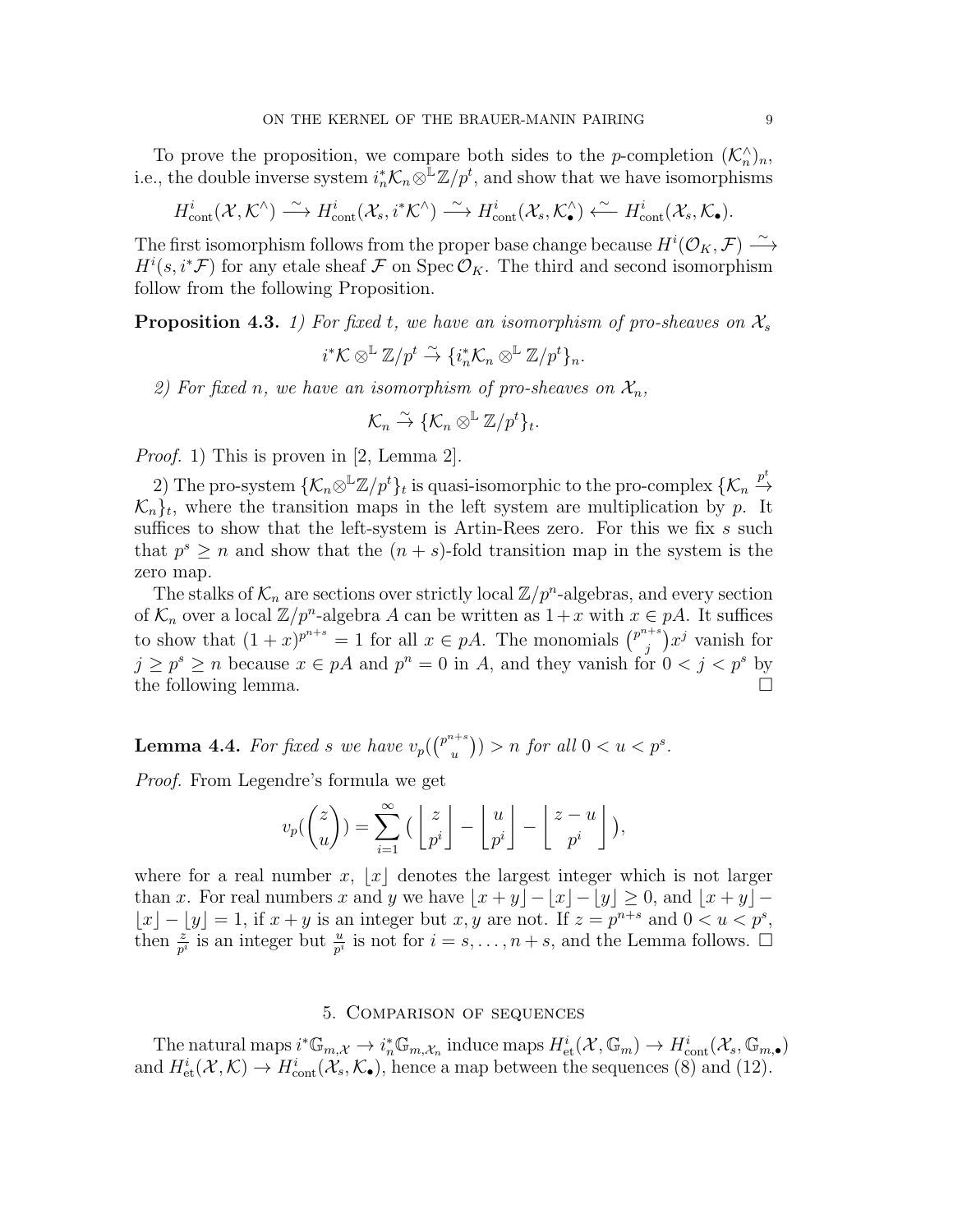To prove the proposition, we compare both sides to the *p*-completion  $(\mathcal{K}_n^{\wedge})_n$ , i.e., the double inverse system  $i_n^* \mathcal{K}_n \otimes^{\mathbb{L}} \mathbb{Z}/p^t$ , and show that we have isomorphisms

$$
H^i_{\text{cont}}(\mathcal{X},\mathcal{K}^\wedge)\stackrel{\sim}{\longrightarrow} H^i_{\text{cont}}(\mathcal{X}_s,i^*\mathcal{K}^\wedge)\stackrel{\sim}{\longrightarrow} H^i_{\text{cont}}(\mathcal{X}_s,\mathcal{K}^\wedge_{\bullet})\stackrel{\sim}{\longleftarrow} H^i_{\text{cont}}(\mathcal{X}_s,\mathcal{K}_{\bullet}).
$$

The first isomorphism follows from the proper base change because  $H^i(\mathcal{O}_K, \mathcal{F}) \stackrel{\sim}{\longrightarrow}$  $H^i(s, i^* \mathcal{F})$  for any etale sheaf  $\mathcal F$  on Spec  $\mathcal O_K$ . The third and second isomorphism follow from the following Proposition.

**Proposition 4.3.** 1) For fixed t, we have an isomorphism of pro-sheaves on  $\mathcal{X}_s$ 

$$
i^*\mathcal{K} \otimes^{\mathbb{L}} \mathbb{Z}/p^t \overset{\sim}{\to} \{i_n^*\mathcal{K}_n \otimes^{\mathbb{L}} \mathbb{Z}/p^t\}_n.
$$

2) For fixed n, we have an isomorphism of pro-sheaves on  $\mathcal{X}_n$ ,

$$
\mathcal{K}_n \overset{\sim}{\to} \{ \mathcal{K}_n \otimes^{\mathbb{L}} \mathbb{Z}/p^t \}_t.
$$

Proof. 1) This is proven in [2, Lemma 2].

2) The pro-system  $\{\mathcal{K}_n\otimes^{\mathbb{L}}\mathbb{Z}/p^t\}_t$  is quasi-isomorphic to the pro-complex  $\{\mathcal{K}_n \stackrel{p^t}{\to}$  $\mathcal{K}_n$ <sub>t</sub>, where the transition maps in the left system are multiplication by p. It suffices to show that the left-system is Artin-Rees zero. For this we fix  $s$  such that  $p^s \geq n$  and show that the  $(n + s)$ -fold transition map in the system is the zero map.

The stalks of  $\mathcal{K}_n$  are sections over strictly local  $\mathbb{Z}/p^n$ -algebras, and every section of  $\mathcal{K}_n$  over a local  $\mathbb{Z}/p^n$ -algebra A can be written as  $1+x$  with  $x \in pA$ . It suffices to show that  $(1+x)^{p^{n+s}} = 1$  for all  $x \in pA$ . The monomials  $\binom{p^{n+s}}{p}$  $j^{i+s}$ ) $x^j$  vanish for  $j \geq p^s \geq n$  because  $x \in pA$  and  $p^n = 0$  in A, and they vanish for  $0 < j < p^s$  by the following lemma.

**Lemma 4.4.** For fixed s we have  $v_p({p^{n+s}})$  $\binom{u^{1+s}}{u}$ ) > n for all  $0 < u < p^s$ .

Proof. From Legendre's formula we get

$$
v_p({z \choose u}) = \sum_{i=1}^{\infty} \Big(\left\lfloor \frac{z}{p^i} \right\rfloor - \left\lfloor \frac{u}{p^i} \right\rfloor - \left\lfloor \frac{z-u}{p^i} \right\rfloor \Big),
$$

where for a real number x, |x| denotes the largest integer which is not larger than x. For real numbers x and y we have  $|x + y| - |x| - |y| \ge 0$ , and  $|x + y| - |x|$  $|x| - |y| = 1$ , if  $x + y$  is an integer but  $x, y$  are not. If  $z = p^{n+s}$  and  $0 < u < p^s$ , then  $\frac{z}{p^i}$  is an integer but  $\frac{u}{p^i}$  is not for  $i = s, \ldots, n+s$ , and the Lemma follows.  $\Box$ 

### 5. Comparison of sequences

The natural maps  $i^* \mathbb{G}_{m,\mathcal{X}} \to i_n^* \mathbb{G}_{m,\mathcal{X}_n}$  induce maps  $H^i_{\text{et}}(\mathcal{X}, \mathbb{G}_m) \to H^i_{\text{cont}}(\mathcal{X}_s, \mathbb{G}_{m,\bullet})$ and  $H^i_{\text{et}}(\mathcal{X},\mathcal{K}) \to H^i_{\text{cont}}(\mathcal{X}_s,\mathcal{K}_\bullet)$ , hence a map between the sequences (8) and (12).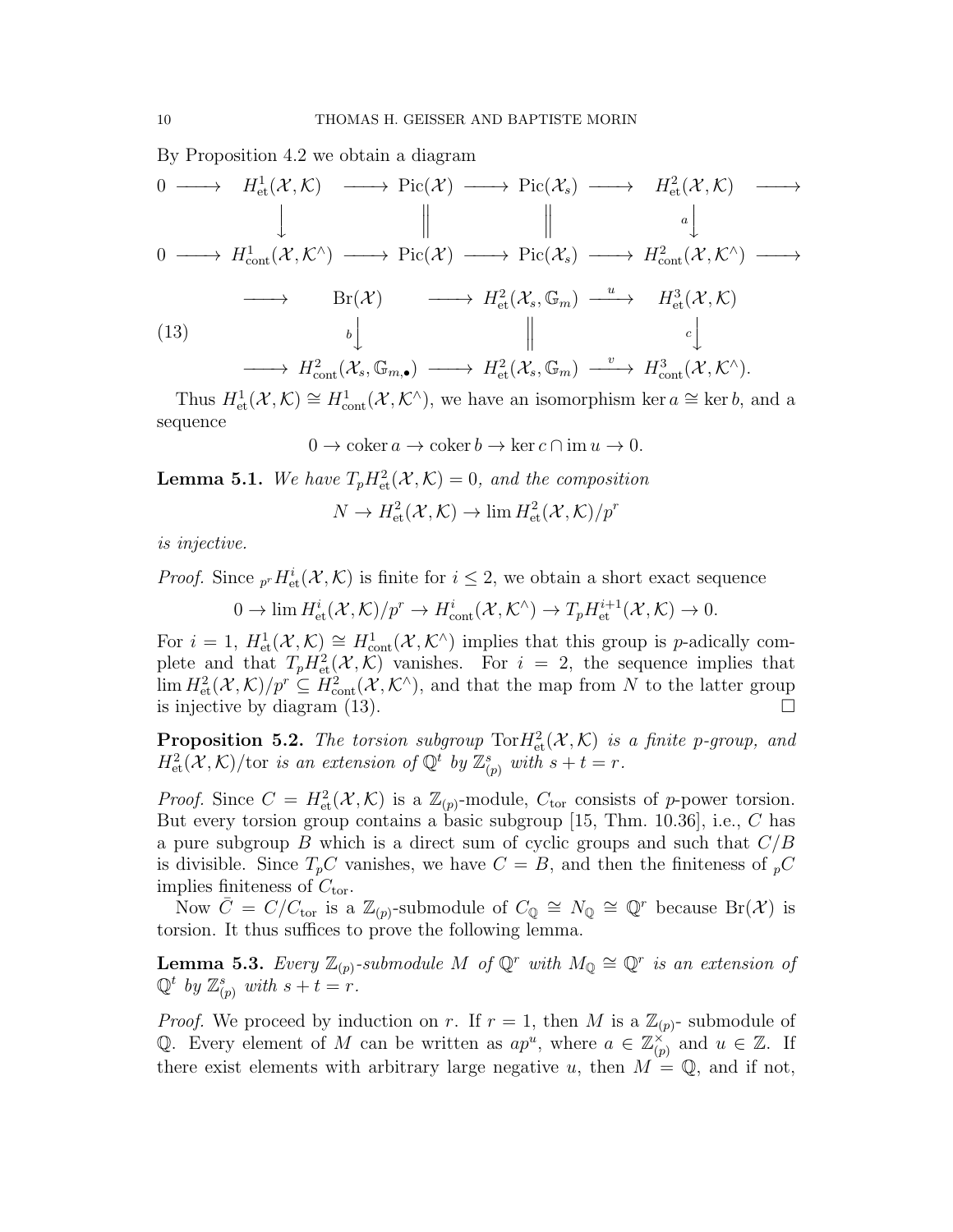By Proposition 4.2 we obtain a diagram

$$
\begin{array}{ccccccc}\n0 & \longrightarrow & H_{\text{et}}^1(\mathcal{X}, \mathcal{K}) & \longrightarrow & \text{Pic}(\mathcal{X}) & \longrightarrow & \text{Pic}(\mathcal{X}_s) & \longrightarrow & H_{\text{et}}^2(\mathcal{X}, \mathcal{K}) & \longrightarrow \\
0 & \longrightarrow & H_{\text{cont}}^1(\mathcal{X}, \mathcal{K}^\wedge) & \longrightarrow & \text{Pic}(\mathcal{X}) & \longrightarrow & \text{Pic}(\mathcal{X}_s) & \longrightarrow & H_{\text{cont}}^2(\mathcal{X}, \mathcal{K}^\wedge) & \longrightarrow \\
& & & & \text{Br}(\mathcal{X}) & \longrightarrow & \text{Pic}(\mathcal{X}_s, \mathbb{G}_m) & \xrightarrow{u} & H_{\text{et}}^3(\mathcal{X}, \mathcal{K}) & \longrightarrow \\
& & & & & \text{Br}(\mathcal{X}) & \longrightarrow & H_{\text{et}}^2(\mathcal{X}_s, \mathbb{G}_m) & \xrightarrow{u} & H_{\text{et}}^3(\mathcal{X}, \mathcal{K}) \\
& & & & & & \text{Br}(\mathcal{X}) & \longrightarrow & H_{\text{cont}}^2(\mathcal{X}_s, \mathbb{G}_m) & \xrightarrow{u} & H_{\text{cont}}^3(\mathcal{X}, \mathcal{K}^\wedge).\n\end{array}
$$

Thus  $H^1_{\text{et}}(\mathcal{X},\mathcal{K})\cong H^1_{\text{cont}}(\mathcal{X},\mathcal{K}^{\wedge})$ , we have an isomorphism ker  $a\cong \ker b$ , and a sequence

 $0 \to \coker a \to \coker b \to \ker c \cap \operatorname{im} u \to 0.$ 

**Lemma 5.1.** We have  $T_p H_{\text{et}}^2(\mathcal{X}, \mathcal{K}) = 0$ , and the composition

$$
N \to H^2_{\text{et}}(\mathcal{X}, \mathcal{K}) \to \lim H^2_{\text{et}}(\mathcal{X}, \mathcal{K})/p^r
$$

is injective.

*Proof.* Since  ${}_{p}rH_{\text{et}}^i(\mathcal{X},\mathcal{K})$  is finite for  $i\leq 2$ , we obtain a short exact sequence

 $0 \to \lim H^i_{\text{et}}(\mathcal{X}, \mathcal{K})/p^r \to H^i_{\text{cont}}(\mathcal{X}, \mathcal{K}^{\wedge}) \to T_p H^{i+1}_{\text{et}}(\mathcal{X}, \mathcal{K}) \to 0.$ 

For  $i = 1$ ,  $H^1_{\text{et}}(\mathcal{X}, \mathcal{K}) \cong H^1_{\text{cont}}(\mathcal{X}, \mathcal{K}^{\wedge})$  implies that this group is *p*-adically complete and that  $T_p H_{\text{et}}^2(\mathcal{X}, \mathcal{K})$  vanishes. For  $i = 2$ , the sequence implies that  $\lim H^2_{\text{\rm et}}(\mathcal X,\mathcal K)/p^r\subseteq H^2_{\text{\rm cont}}(\mathcal X,\mathcal K^\wedge)$ , and that the map from N to the latter group is injective by diagram  $(13)$ .

**Proposition 5.2.** The torsion subgroup  $\text{Tor} H^2_{\text{et}}(\mathcal{X}, \mathcal{K})$  is a finite p-group, and  $H^2_{\text{\rm et}}(\mathcal X,\mathcal K)/\text{\rm tor}$  is an extension of  $\mathbb{Q}^t$  by  $\mathbb{Z}_{(p)}^s$  with  $s+t=r$ .

*Proof.* Since  $C = H^2_{\text{et}}(\mathcal{X}, \mathcal{K})$  is a  $\mathbb{Z}_{(p)}$ -module,  $C_{\text{tor}}$  consists of p-power torsion. But every torsion group contains a basic subgroup [15, Thm. 10.36], i.e., C has a pure subgroup B which is a direct sum of cyclic groups and such that  $C/B$ is divisible. Since  $T_pC$  vanishes, we have  $C = B$ , and then the finiteness of  $_pC$ implies finiteness of  $C_{\text{tor}}$ .

Now  $\overline{C} = C/C_{\text{tor}}$  is a  $\mathbb{Z}_{(p)}$ -submodule of  $C_{\mathbb{Q}} \cong N_{\mathbb{Q}} \cong \mathbb{Q}^r$  because  $\text{Br}(\mathcal{X})$  is torsion. It thus suffices to prove the following lemma.

**Lemma 5.3.** Every  $\mathbb{Z}_{(p)}$ -submodule M of  $\mathbb{Q}^r$  with  $M_{\mathbb{Q}} \cong \mathbb{Q}^r$  is an extension of  $\mathbb{Q}^t$  by  $\mathbb{Z}_{(p)}^s$  with  $s+t=r$ .

*Proof.* We proceed by induction on r. If  $r = 1$ , then M is a  $\mathbb{Z}_{(p)}$ - submodule of Q. Every element of M can be written as  $ap^u$ , where  $a \in \mathbb{Z}_{\alpha}^{\times}$  $\check{\binom{x}{p}}$  and  $u \in \mathbb{Z}$ . If there exist elements with arbitrary large negative u, then  $M = \mathbb{Q}$ , and if not,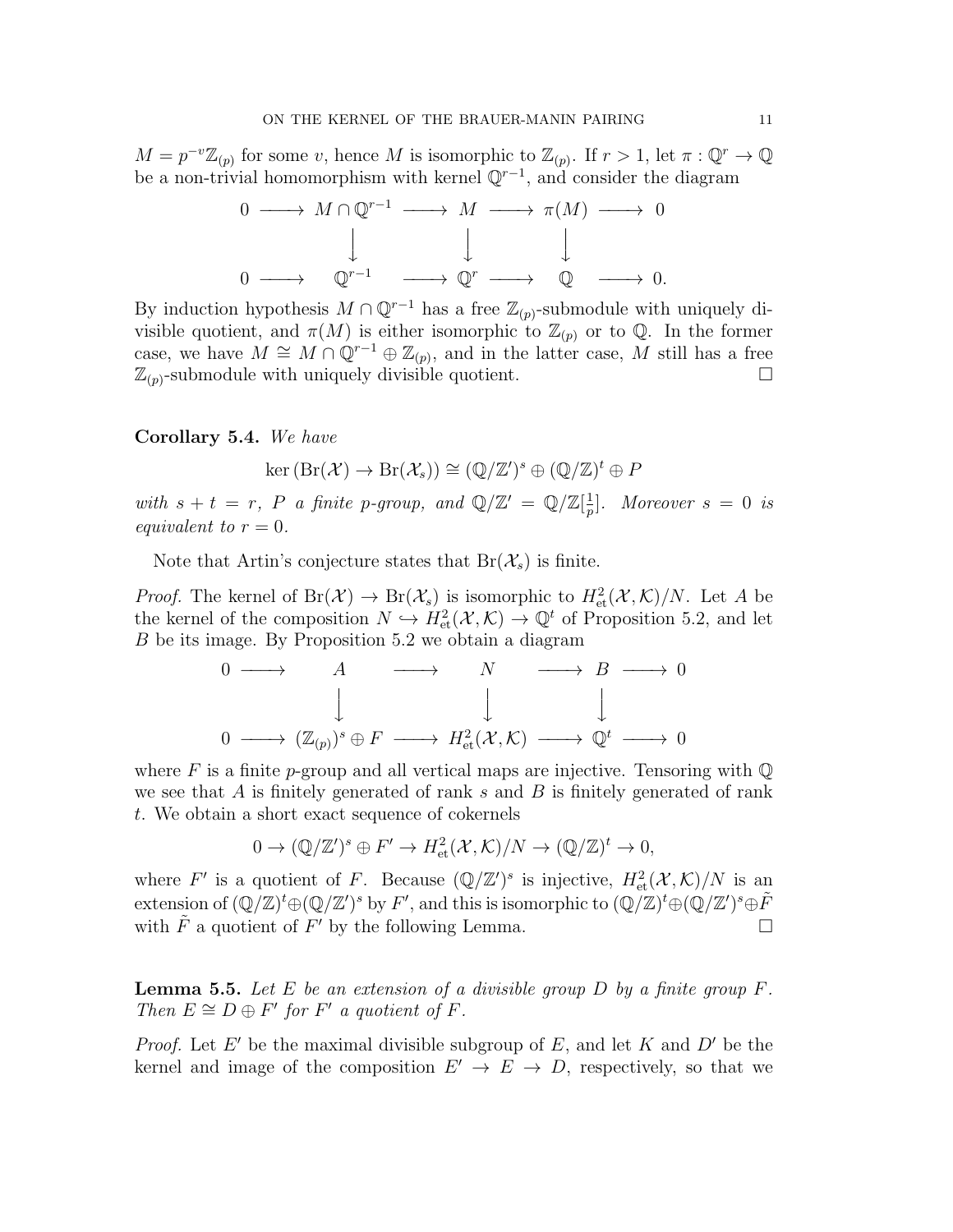$M = p^{-v}\mathbb{Z}_{(p)}$  for some v, hence M is isomorphic to  $\mathbb{Z}_{(p)}$ . If  $r > 1$ , let  $\pi : \mathbb{Q}^r \to \mathbb{Q}$ be a non-trivial homomorphism with kernel  $\mathbb{Q}^{r-1}$ , and consider the diagram

$$
\begin{array}{ccccccc}\n0 & \longrightarrow & M \cap \mathbb{Q}^{r-1} & \longrightarrow & M & \longrightarrow & \pi(M) & \longrightarrow & 0 \\
& & \downarrow & & \downarrow & & \downarrow & & \\
0 & \longrightarrow & \mathbb{Q}^{r-1} & \longrightarrow & \mathbb{Q}^r & \longrightarrow & \mathbb{Q} & \longrightarrow & 0.\n\end{array}
$$

By induction hypothesis  $M \cap \mathbb{Q}^{r-1}$  has a free  $\mathbb{Z}_{(p)}$ -submodule with uniquely divisible quotient, and  $\pi(M)$  is either isomorphic to  $\mathbb{Z}_{(p)}$  or to  $\mathbb{Q}$ . In the former case, we have  $M \cong M \cap \mathbb{Q}^{r-1} \oplus \mathbb{Z}_{(p)}$ , and in the latter case, M still has a free  $\mathbb{Z}_{(p)}$ -submodule with uniquely divisible quotient.

## Corollary 5.4. We have

$$
\ker\left(\mathrm{Br}(\mathcal{X})\to\mathrm{Br}(\mathcal{X}_s)\right)\cong (\mathbb{Q}/\mathbb{Z}')^s\oplus (\mathbb{Q}/\mathbb{Z})^t\oplus P
$$

with  $s + t = r$ , P a finite p-group, and  $\mathbb{Q}/\mathbb{Z}' = \mathbb{Q}/\mathbb{Z}[\frac{1}{r}]$  $\frac{1}{p}$ ]. Moreover  $s = 0$  is equivalent to  $r = 0$ .

Note that Artin's conjecture states that  $Br(\mathcal{X}_s)$  is finite.

*Proof.* The kernel of  $Br(\mathcal{X}) \to Br(\mathcal{X}_s)$  is isomorphic to  $H^2_{\text{\rm et}}(\mathcal{X},\mathcal{K})/N$ . Let A be the kernel of the composition  $N \hookrightarrow H^2_{\text{et}}(\mathcal{X}, \mathcal{K}) \to \mathbb{Q}^t$  of Proposition 5.2, and let B be its image. By Proposition 5.2 we obtain a diagram

$$
\begin{array}{ccccccc}\n0 & \longrightarrow & A & \longrightarrow & N & \longrightarrow & B & \longrightarrow & 0 \\
 & & & & & & & \\
0 & \longrightarrow & (\mathbb{Z}_{(p)})^s \oplus F & \longrightarrow & H^2_{\text{et}}(\mathcal{X}, \mathcal{K}) & \longrightarrow & \mathbb{Q}^t & \longrightarrow & 0\n\end{array}
$$

where F is a finite p-group and all vertical maps are injective. Tensoring with  $\mathbb{Q}$ we see that A is finitely generated of rank s and B is finitely generated of rank t. We obtain a short exact sequence of cokernels

$$
0 \to (\mathbb{Q}/\mathbb{Z}')^s \oplus F' \to H^2_{\text{et}}(\mathcal{X}, \mathcal{K})/N \to (\mathbb{Q}/\mathbb{Z})^t \to 0,
$$

where F' is a quotient of F. Because  $(\mathbb{Q}/\mathbb{Z}')^s$  is injective,  $H^2_{\text{et}}(\mathcal{X},\mathcal{K})/N$  is an extension of  $(\mathbb{Q}/\mathbb{Z})^t \oplus (\mathbb{Q}/\mathbb{Z}')^s$  by  $F'$ , and this is isomorphic to  $(\mathbb{Q}/\mathbb{Z})^t \oplus (\mathbb{Q}/\mathbb{Z}')^s \oplus \tilde{F}$ with  $\tilde{F}$  a quotient of  $F'$  by the following Lemma.

**Lemma 5.5.** Let E be an extension of a divisible group D by a finite group  $F$ . Then  $E \cong D \oplus F'$  for  $F'$  a quotient of  $F$ .

*Proof.* Let E' be the maximal divisible subgroup of E, and let K and D' be the kernel and image of the composition  $E' \to E \to D$ , respectively, so that we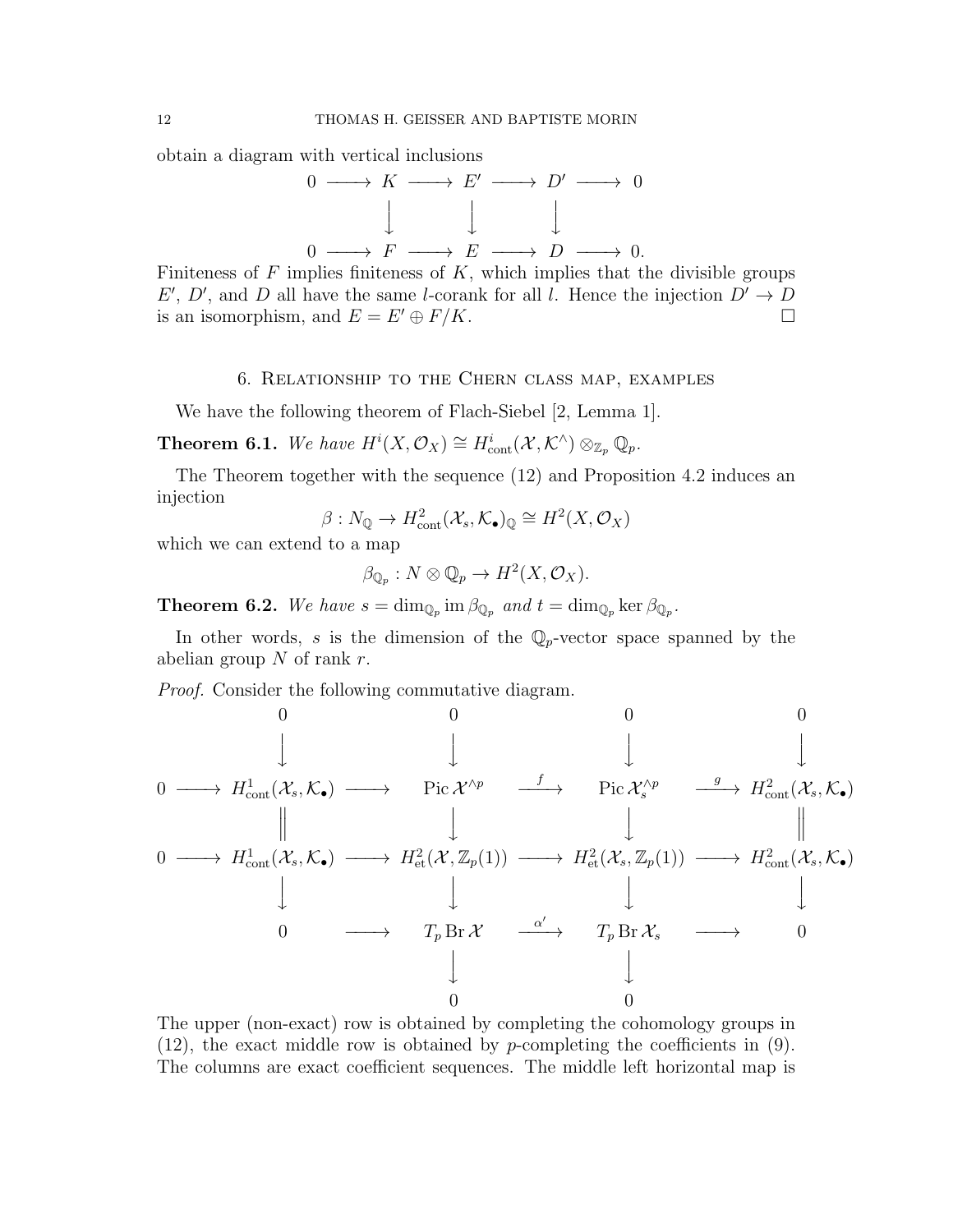obtain a diagram with vertical inclusions



Finiteness of  $F$  implies finiteness of  $K$ , which implies that the divisible groups E', D', and D all have the same l-corank for all l. Hence the injection  $D' \rightarrow D$ is an isomorphism, and  $E = E' \oplus F/K$ .

# 6. Relationship to the Chern class map, examples

We have the following theorem of Flach-Siebel [2, Lemma 1].

**Theorem 6.1.** We have  $H^i(X, \mathcal{O}_X) \cong H^i_{\text{cont}}(\mathcal{X}, \mathcal{K}^{\wedge}) \otimes_{\mathbb{Z}_p} \mathbb{Q}_p$ .

The Theorem together with the sequence (12) and Proposition 4.2 induces an injection

$$
\beta: N_{\mathbb{Q}} \to H^2_{\text{cont}}(\mathcal{X}_s, \mathcal{K}_{\bullet})_{\mathbb{Q}} \cong H^2(X, \mathcal{O}_X)
$$

which we can extend to a map

$$
\beta_{\mathbb{Q}_p}: N \otimes \mathbb{Q}_p \to H^2(X, \mathcal{O}_X).
$$

**Theorem 6.2.** We have  $s = \dim_{\mathbb{Q}_p} \text{im } \beta_{\mathbb{Q}_p}$  and  $t = \dim_{\mathbb{Q}_p} \text{ker } \beta_{\mathbb{Q}_p}$ .

In other words, s is the dimension of the  $\mathbb{Q}_p$ -vector space spanned by the abelian group  $N$  of rank  $r$ .

Proof. Consider the following commutative diagram.



The upper (non-exact) row is obtained by completing the cohomology groups in  $(12)$ , the exact middle row is obtained by *p*-completing the coefficients in  $(9)$ . The columns are exact coefficient sequences. The middle left horizontal map is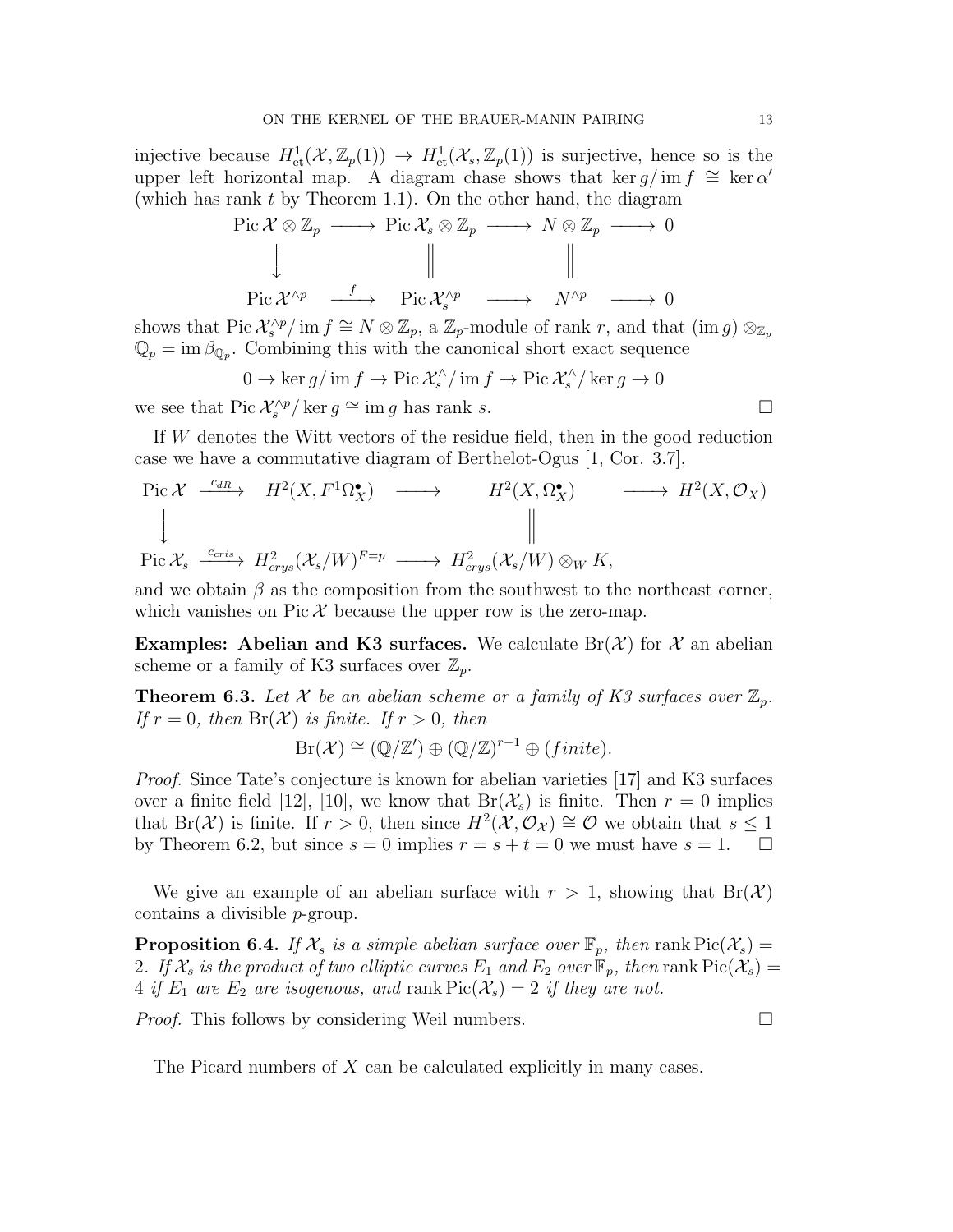injective because  $H^1_{\text{\rm et}}(\mathcal X,\mathbb{Z}_p(1)) \to H^1_{\text{\rm et}}(\mathcal X_s,\mathbb{Z}_p(1))$  is surjective, hence so is the upper left horizontal map. A diagram chase shows that ker  $g/\text{im } f \cong \text{ker } \alpha'$ (which has rank  $t$  by Theorem 1.1). On the other hand, the diagram

$$
\begin{array}{ccccccc}\n\text{Pic } \mathcal{X} \otimes \mathbb{Z}_p & \longrightarrow & \text{Pic } \mathcal{X}_s \otimes \mathbb{Z}_p & \longrightarrow & N \otimes \mathbb{Z}_p & \longrightarrow & 0 \\
\downarrow & & & \parallel & & \parallel & & \parallel \\
\text{Pic } \mathcal{X}^{\wedge p} & \xrightarrow{f} & \text{Pic } \mathcal{X}_s^{\wedge p} & \longrightarrow & N^{\wedge p} & \longrightarrow & 0\n\end{array}
$$

shows that Pic  $\mathcal{X}_s^{\wedge p}/\text{ im } f \cong N \otimes \mathbb{Z}_p$ , a  $\mathbb{Z}_p$ -module of rank r, and that  $(\text{im } g) \otimes_{\mathbb{Z}_p}$  $\mathbb{Q}_p = \text{im } \beta_{\mathbb{Q}_p}$ . Combining this with the canonical short exact sequence

$$
0 \to \ker g / \operatorname{im} f \to \operatorname{Pic} \mathcal{X}_s^\wedge / \operatorname{im} f \to \operatorname{Pic} \mathcal{X}_s^\wedge / \ker g \to 0
$$

we see that Pic  $\mathcal{X}_s^{\wedge p}/\ker g \cong \text{im } g$  has rank s.

If W denotes the Witt vectors of the residue field, then in the good reduction case we have a commutative diagram of Berthelot-Ogus [1, Cor. 3.7],

Pic 
$$
\mathcal{X} \xrightarrow{c_{dR}} H^2(X, F^1\Omega_X^{\bullet}) \longrightarrow H^2(X, \Omega_X^{\bullet}) \longrightarrow H^2(X, \mathcal{O}_X)
$$
  
\n
$$
\downarrow \qquad \qquad \downarrow
$$
\nPic  $\mathcal{X}_s \xrightarrow{c_{cris}} H^2_{crys}(\mathcal{X}_s/W)^{F=p} \longrightarrow H^2_{crys}(\mathcal{X}_s/W) \otimes_W K,$ 

and we obtain  $\beta$  as the composition from the southwest to the northeast corner, which vanishes on  $Pic X$  because the upper row is the zero-map.

**Examples:** Abelian and K3 surfaces. We calculate  $Br(X)$  for X an abelian scheme or a family of K3 surfaces over  $\mathbb{Z}_p$ .

**Theorem 6.3.** Let X be an abelian scheme or a family of K3 surfaces over  $\mathbb{Z}_p$ . If  $r = 0$ , then  $Br(X)$  is finite. If  $r > 0$ , then

$$
Br(\mathcal{X}) \cong (\mathbb{Q}/\mathbb{Z}') \oplus (\mathbb{Q}/\mathbb{Z})^{r-1} \oplus (finite).
$$

Proof. Since Tate's conjecture is known for abelian varieties [17] and K3 surfaces over a finite field [12], [10], we know that  $Br(\mathcal{X}_s)$  is finite. Then  $r=0$  implies that Br(X) is finite. If  $r > 0$ , then since  $H^2(\mathcal{X}, \mathcal{O}_{\mathcal{X}}) \cong \mathcal{O}$  we obtain that  $s \leq 1$ by Theorem 6.2, but since  $s = 0$  implies  $r = s + t = 0$  we must have  $s = 1$ .

We give an example of an abelian surface with  $r > 1$ , showing that  $Br(X)$ contains a divisible p-group.

**Proposition 6.4.** If  $\mathcal{X}_s$  is a simple abelian surface over  $\mathbb{F}_p$ , then rank  $Pic(\mathcal{X}_s) =$ 2. If  $\mathcal{X}_s$  is the product of two elliptic curves  $E_1$  and  $E_2$  over  $\mathbb{F}_p$ , then rank  $Pic(\mathcal{X}_s)$  = 4 if  $E_1$  are  $E_2$  are isogenous, and rank  $Pic(\mathcal{X}_s) = 2$  if they are not.

*Proof.* This follows by considering Weil numbers.  $\Box$ 

The Picard numbers of X can be calculated explicitly in many cases.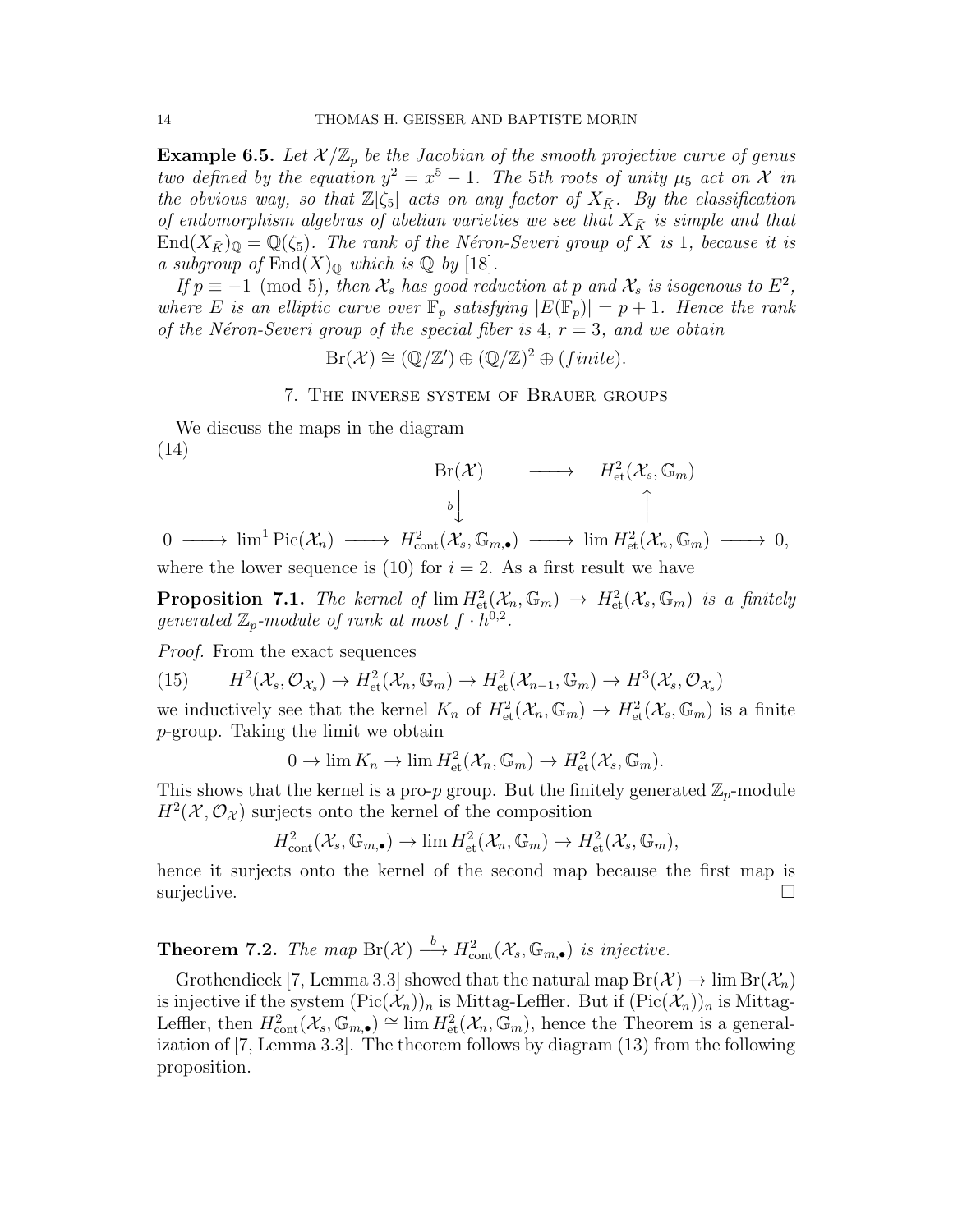**Example 6.5.** Let  $\mathcal{X}/\mathbb{Z}_p$  be the Jacobian of the smooth projective curve of genus two defined by the equation  $y^2 = x^5 - 1$ . The 5th roots of unity  $\mu_5$  act on X in the obvious way, so that  $\mathbb{Z}[\zeta_5]$  acts on any factor of  $X_{\bar{K}}$ . By the classification of endomorphism algebras of abelian varieties we see that  $X_{\bar{K}}$  is simple and that  $\text{End}(X_{\bar{K}})_{\mathbb{Q}} = \mathbb{Q}(\zeta_5)$ . The rank of the Néron-Severi group of X is 1, because it is a subgroup of  $\text{End}(X)_{\mathbb{Q}}$  which is  $\mathbb{Q}$  by [18].

If  $p \equiv -1 \pmod{5}$ , then  $\mathcal{X}_s$  has good reduction at p and  $\mathcal{X}_s$  is isogenous to  $E^2$ , where E is an elliptic curve over  $\mathbb{F}_p$  satisfying  $|E(\mathbb{F}_p)| = p + 1$ . Hence the rank of the Néron-Severi group of the special fiber is 4,  $r = 3$ , and we obtain

 $Br(\mathcal{X}) \cong (\mathbb{Q}/\mathbb{Z}') \oplus (\mathbb{Q}/\mathbb{Z})^2 \oplus (finite).$ 

## 7. The inverse system of Brauer groups

We discuss the maps in the diagram (14)

$$
\begin{array}{ccc}\n\text{Br}(\mathcal{X}) & \longrightarrow & H^2_{\text{et}}(\mathcal{X}_s, \mathbb{G}_m) \\
\downarrow & & \uparrow \\
\downarrow & & \uparrow \\
\downarrow & & \uparrow \\
\downarrow & & \downarrow \\
\downarrow & & \downarrow \\
\downarrow & & \downarrow \\
\downarrow & & \downarrow \\
\downarrow & & \downarrow \\
\downarrow & & \downarrow \\
\downarrow & & \downarrow \\
\downarrow & & \downarrow \\
\downarrow & & \downarrow \\
\downarrow & & \downarrow \\
\downarrow & & \downarrow \\
\downarrow & & \downarrow \\
\downarrow & & \downarrow \\
\downarrow & & \downarrow \\
\downarrow & & \downarrow \\
\downarrow & & \downarrow \\
\downarrow & & \downarrow \\
\downarrow & & \downarrow \\
\downarrow & & \downarrow \\
\downarrow & & \downarrow \\
\downarrow & & \downarrow \\
\downarrow & & \downarrow \\
\downarrow & & \downarrow \\
\downarrow & & \downarrow \\
\downarrow & & \downarrow \\
\downarrow & & \downarrow \\
\downarrow & & \downarrow \\
\downarrow & & \downarrow \\
\downarrow & & \downarrow \\
\downarrow & & \downarrow \\
\downarrow & & \downarrow \\
\downarrow & & \downarrow \\
\downarrow & & \downarrow \\
\downarrow & & \downarrow \\
\downarrow & & \downarrow \\
\downarrow & & \downarrow \\
\downarrow & & \downarrow \\
\downarrow & & \downarrow \\
\downarrow & & \downarrow \\
\downarrow & & \downarrow \\
\downarrow & & \downarrow \\
\downarrow & & \downarrow \\
\downarrow & & \downarrow \\
\downarrow & & \downarrow \\
\downarrow & & \downarrow \\
\downarrow & & \downarrow \\
\downarrow & & \downarrow \\
\downarrow & & \downarrow \\
\downarrow & & \downarrow \\
\downarrow & & \downarrow \\
\downarrow & & \downarrow \\
\downarrow &
$$

 $0 \longrightarrow \lim^{1} Pic(\mathcal{X}_{n}) \longrightarrow H^{2}_{cont}(\mathcal{X}_{s}, \mathbb{G}_{m,\bullet}) \longrightarrow \lim H^{2}_{et}(\mathcal{X}_{n}, \mathbb{G}_{m}) \longrightarrow 0,$ where the lower sequence is (10) for  $i = 2$ . As a first result we have

**Proposition 7.1.** The kernel of  $\lim H^2_{\text{et}}(\mathcal{X}_n, \mathbb{G}_m) \to H^2_{\text{et}}(\mathcal{X}_s, \mathbb{G}_m)$  is a finitely generated  $\mathbb{Z}_p$ -module of rank at most  $f \cdot \tilde{h}^{0,2}$ .

Proof. From the exact sequences

 $(15)$  $H^2(\mathcal{X}_s, \mathcal{O}_{\mathcal{X}_s}) \to H^2_{\text{\rm et}}(\mathcal{X}_n, \mathbb{G}_m) \to H^2_{\text{\rm et}}(\mathcal{X}_{n-1}, \mathbb{G}_m) \to H^3(\mathcal{X}_s, \mathcal{O}_{\mathcal{X}_s})$ 

we inductively see that the kernel  $K_n$  of  $H^2_{\text{\rm et}}(\mathcal{X}_n,\mathbb{G}_m) \to H^2_{\text{\rm et}}(\mathcal{X}_s,\mathbb{G}_m)$  is a finite p-group. Taking the limit we obtain

 $0 \to \lim K_n \to \lim H^2_{\text{\rm et}}(\mathcal{X}_n, \mathbb{G}_m) \to H^2_{\text{\rm et}}(\mathcal{X}_s, \mathbb{G}_m).$ 

This shows that the kernel is a pro-p group. But the finitely generated  $\mathbb{Z}_p$ -module  $H^2(\mathcal{X}, \mathcal{O}_{\mathcal{X}})$  surjects onto the kernel of the composition

$$
H^2_{\text{cont}}(\mathcal{X}_s, \mathbb{G}_{m,\bullet}) \to \lim H^2_{\text{et}}(\mathcal{X}_n, \mathbb{G}_m) \to H^2_{\text{et}}(\mathcal{X}_s, \mathbb{G}_m),
$$

hence it surjects onto the kernel of the second map because the first map is surjective.  $\square$ 

**Theorem 7.2.** The map  $\text{Br}(\mathcal{X}) \stackrel{b}{\longrightarrow} H^2_{\text{cont}}(\mathcal{X}_s, \mathbb{G}_{m,\bullet})$  is injective.

Grothendieck [7, Lemma 3.3] showed that the natural map  $Br(\mathcal{X}) \to \lim Br(\mathcal{X}_n)$ is injective if the system  $(\text{Pic}(\mathcal{X}_n))_n$  is Mittag-Leffler. But if  $(\text{Pic}(\mathcal{X}_n))_n$  is Mittag-Leffler, then  $H^2_{\text{cont}}(\mathcal{X}_s, \mathbb{G}_{m,\bullet}) \cong \lim_{n \to \infty} H^2_{\text{et}}(\mathcal{X}_n, \mathbb{G}_m)$ , hence the Theorem is a generalization of [7, Lemma 3.3]. The theorem follows by diagram (13) from the following proposition.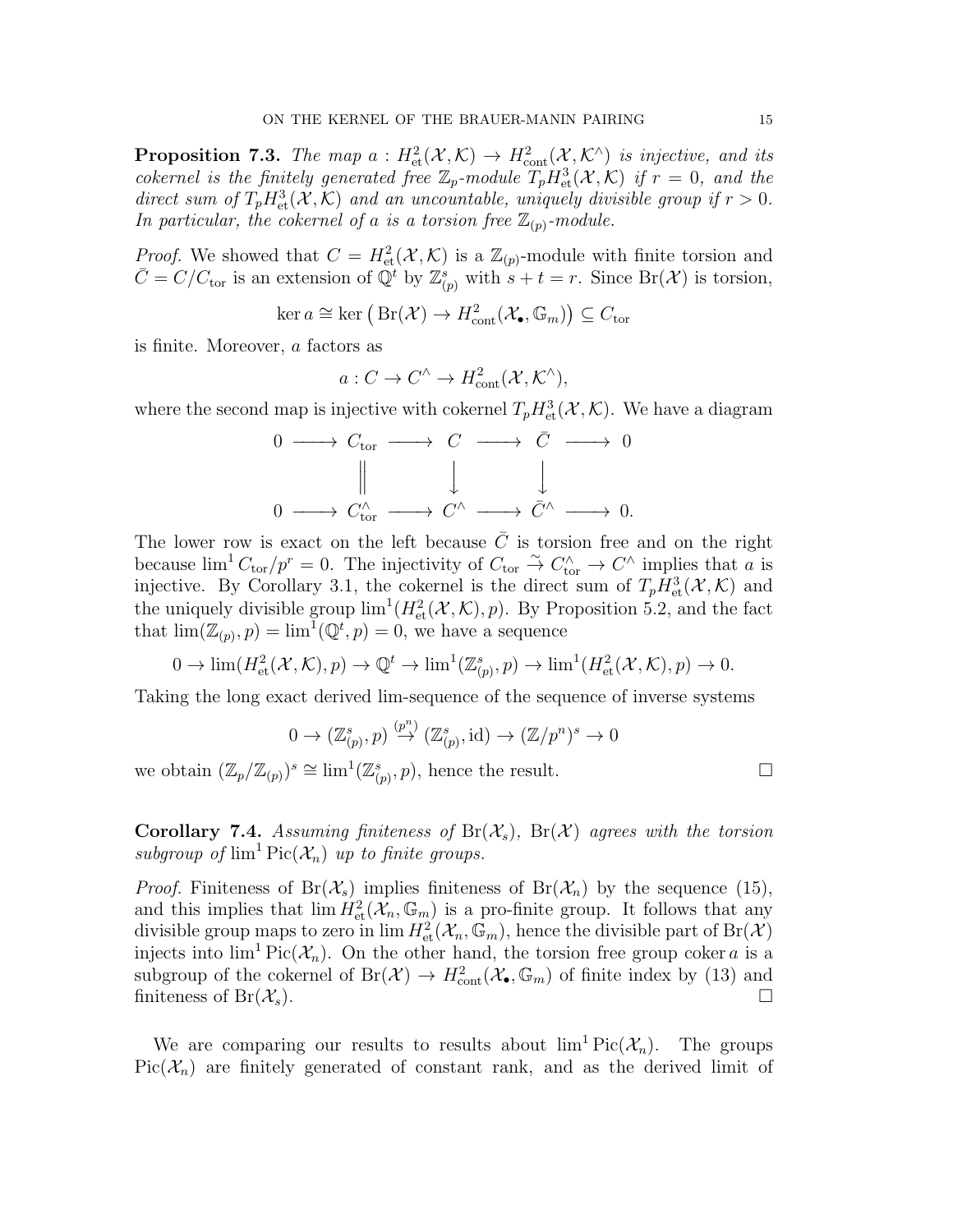**Proposition 7.3.** The map  $a: H^2_{\text{et}}(\mathcal{X}, \mathcal{K}) \to H^2_{\text{cont}}(\mathcal{X}, \mathcal{K}^{\wedge})$  is injective, and its cokernel is the finitely generated free  $\mathbb{Z}_p$ -module  $T_p H_{\text{et}}^3(\mathcal{X}, \mathcal{K})$  if  $r = 0$ , and the direct sum of  $T_p H_{\text{et}}^3(\mathcal{X}, \mathcal{K})$  and an uncountable, uniquely divisible group if  $r > 0$ . In particular, the cokernel of a is a torsion free  $\mathbb{Z}_{(p)}$ -module.

*Proof.* We showed that  $C = H^2_{\text{\rm et}}(\mathcal{X}, \mathcal{K})$  is a  $\mathbb{Z}_{(p)}$ -module with finite torsion and  $\overline{C} = C/C_{\text{tor}}$  is an extension of  $\overline{Q}^t$  by  $\mathbb{Z}_{(p)}^s$  with  $s + t = r$ . Since  $\text{Br}(\mathcal{X})$  is torsion,

$$
\ker a \cong \ker (\operatorname{Br}(\mathcal{X}) \to H^2_{\text{cont}}(\mathcal{X}_{\bullet}, \mathbb{G}_m)) \subseteq C_{\text{tor}}
$$

is finite. Moreover, a factors as

$$
a: C \to C^{\wedge} \to H^2_{\text{cont}}(\mathcal{X}, \mathcal{K}^{\wedge}),
$$

where the second map is injective with cokernel  $T_p H_{\text{et}}^3(\mathcal{X}, \mathcal{K})$ . We have a diagram

$$
\begin{array}{ccc}\n0 & \longrightarrow & C_{\text{tor}} & \longrightarrow & C & \longrightarrow & \bar{C} & \longrightarrow & 0 \\
& & \parallel & & \downarrow & & \downarrow \\
0 & \longrightarrow & C_{\text{tor}}^{\wedge} & \longrightarrow & C^{\wedge} & \longrightarrow & \bar{C}^{\wedge} & \longrightarrow & 0.\n\end{array}
$$

The lower row is exact on the left because  $\overline{C}$  is torsion free and on the right because  $\lim^1 C_{\text{tor}}/p^r = 0$ . The injectivity of  $C_{\text{tor}} \stackrel{\sim}{\to} C_{\text{tor}}' \to C'$  implies that  $\alpha$  is injective. By Corollary 3.1, the cokernel is the direct sum of  $T_p H^3_{\text{\rm et}}(\mathcal{X}, \mathcal{K})$  and the uniquely divisible group  $\lim^1(H^2_{\text{et}}(\mathcal{X}, \mathcal{K}), p)$ . By Proposition 5.2, and the fact that  $\lim(\mathbb{Z}_{(p)}, p) = \lim^{\mathbb{I}}(\mathbb{Q}^t, p) = 0$ , we have a sequence

$$
0 \to \lim(H^2_{\text{et}}(\mathcal{X}, \mathcal{K}), p) \to \mathbb{Q}^t \to \lim^1(\mathbb{Z}_{(p)}^s, p) \to \lim^1(H^2_{\text{et}}(\mathcal{X}, \mathcal{K}), p) \to 0.
$$

Taking the long exact derived lim-sequence of the sequence of inverse systems

$$
0 \to (\mathbb{Z}^s_{(p)}, p) \stackrel{(p^n)}{\to} (\mathbb{Z}^s_{(p)}, \text{id}) \to (\mathbb{Z}/p^n)^s \to 0
$$

we obtain  $(\mathbb{Z}_p/\mathbb{Z}_{(p)})^s \cong \lim^1(\mathbb{Z}_{(p)}^s, p)$ , hence the result.

**Corollary 7.4.** Assuming finiteness of  $Br(X_s)$ ,  $Br(X)$  agrees with the torsion subgroup of  $\lim^1 \text{Pic}(\mathcal{X}_n)$  up to finite groups.

*Proof.* Finiteness of  $Br(\mathcal{X}_s)$  implies finiteness of  $Br(\mathcal{X}_n)$  by the sequence (15), and this implies that  $\lim_{n \to \infty} H^2_{\text{et}}(\mathcal{X}_n, \mathbb{G}_m)$  is a pro-finite group. It follows that any divisible group maps to zero in  $\lim H^2_{\text{\rm et}}(\mathcal{X}_n,\bar{\mathbb{G}}_m)$ , hence the divisible part of  $\text{Br}(\mathcal{X})$ injects into  $\lim^1 \text{Pic}(\mathcal{X}_n)$ . On the other hand, the torsion free group coker a is a subgroup of the cokernel of  $Br(\mathcal{X}) \to H^2_{cont}(\mathcal{X}_{\bullet}, \mathbb{G}_m)$  of finite index by (13) and finiteness of Br $(\mathcal{X}_s)$ .

We are comparing our results to results about  $\lim^1 Pic(\mathcal{X}_n)$ . The groups  $Pic(\mathcal{X}_n)$  are finitely generated of constant rank, and as the derived limit of

$$
\Box
$$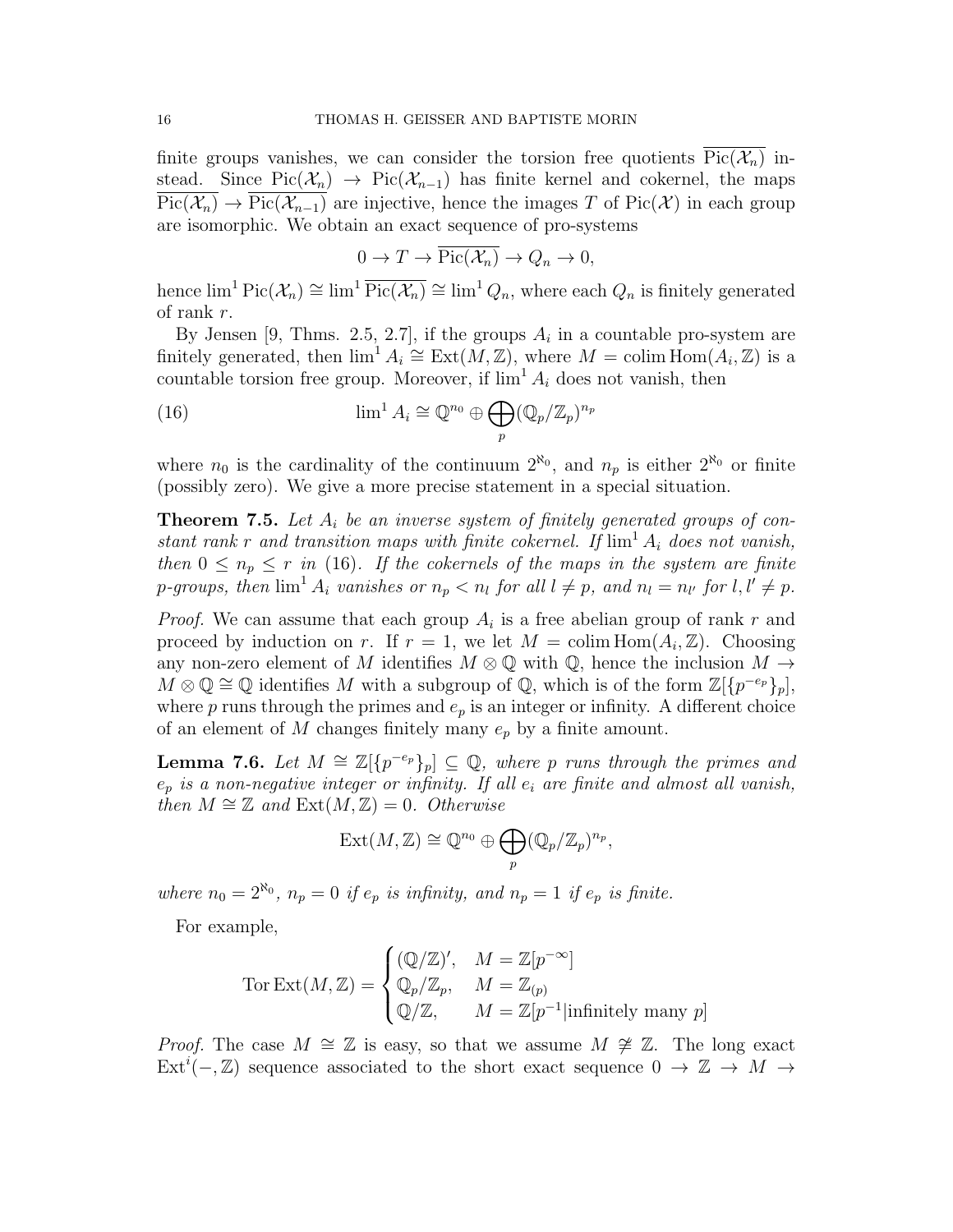finite groups vanishes, we can consider the torsion free quotients  $\overline{\text{Pic}(\mathcal{X}_n)}$  instead. Since  $Pic(\mathcal{X}_n) \to Pic(\mathcal{X}_{n-1})$  has finite kernel and cokernel, the maps  $\overline{\text{Pic}(\mathcal{X}_n)} \to \overline{\text{Pic}(\mathcal{X}_{n-1})}$  are injective, hence the images T of Pic(X) in each group are isomorphic. We obtain an exact sequence of pro-systems

$$
0 \to T \to \overline{\mathrm{Pic}(\mathcal{X}_n)} \to Q_n \to 0,
$$

hence  $\lim^1 \text{Pic}(\mathcal{X}_n) \cong \lim^1 \overline{\text{Pic}(\mathcal{X}_n)} \cong \lim^1 Q_n$ , where each  $Q_n$  is finitely generated of rank r.

By Jensen [9, Thms. 2.5, 2.7], if the groups  $A_i$  in a countable pro-system are finitely generated, then  $\lim^1 A_i \cong \text{Ext}(M,\mathbb{Z})$ , where  $M = \text{colim Hom}(A_i,\mathbb{Z})$  is a countable torsion free group. Moreover, if  $\lim^1 A_i$  does not vanish, then

(16) 
$$
\lim^1 A_i \cong \mathbb{Q}^{n_0} \oplus \bigoplus_p (\mathbb{Q}_p/\mathbb{Z}_p)^{n_p}
$$

where  $n_0$  is the cardinality of the continuum  $2^{\aleph_0}$ , and  $n_p$  is either  $2^{\aleph_0}$  or finite (possibly zero). We give a more precise statement in a special situation.

**Theorem 7.5.** Let  $A_i$  be an inverse system of finitely generated groups of constant rank r and transition maps with finite cokernel. If  $\lim^1 A_i$  does not vanish, then  $0 \leq n_p \leq r$  in (16). If the cokernels of the maps in the system are finite p-groups, then  $\lim^1 A_i$  vanishes or  $n_p < n_l$  for all  $l \neq p$ , and  $n_l = n_{l'}$  for  $l, l' \neq p$ .

*Proof.* We can assume that each group  $A_i$  is a free abelian group of rank r and proceed by induction on r. If  $r = 1$ , we let  $M = \text{colim Hom}(A_i, \mathbb{Z})$ . Choosing any non-zero element of M identifies  $M \otimes \mathbb{Q}$  with  $\mathbb{Q}$ , hence the inclusion  $M \to$  $M \otimes \mathbb{Q} \cong \mathbb{Q}$  identifies M with a subgroup of  $\mathbb{Q}$ , which is of the form  $\mathbb{Z}[\{p^{-e_p}\}_p]$ , where  $p$  runs through the primes and  $e_p$  is an integer or infinity. A different choice of an element of M changes finitely many  $e_p$  by a finite amount.

**Lemma 7.6.** Let  $M \cong \mathbb{Z}[\{p^{-e_p}\}_p] \subseteq \mathbb{Q}$ , where p runs through the primes and  $e_p$  is a non-negative integer or infinity. If all  $e_i$  are finite and almost all vanish, then  $M \cong \mathbb{Z}$  and  $\text{Ext}(M, \mathbb{Z}) = 0$ . Otherwise

$$
\text{Ext}(M,\mathbb{Z}) \cong \mathbb{Q}^{n_0} \oplus \bigoplus_p (\mathbb{Q}_p/\mathbb{Z}_p)^{n_p},
$$

where  $n_0 = 2^{\aleph_0}$ ,  $n_p = 0$  if  $e_p$  is infinity, and  $n_p = 1$  if  $e_p$  is finite.

For example,

$$
\text{Tor Ext}(M, \mathbb{Z}) = \begin{cases} (\mathbb{Q}/\mathbb{Z})', & M = \mathbb{Z}[p^{-\infty}] \\ \mathbb{Q}_p/\mathbb{Z}_p, & M = \mathbb{Z}_{(p)} \\ \mathbb{Q}/\mathbb{Z}, & M = \mathbb{Z}[p^{-1}|\text{infinitely many } p] \end{cases}
$$

*Proof.* The case  $M \cong \mathbb{Z}$  is easy, so that we assume  $M \not\cong \mathbb{Z}$ . The long exact  $\text{Ext}^i(-,\mathbb{Z})$  sequence associated to the short exact sequence  $0 \to \mathbb{Z} \to M \to$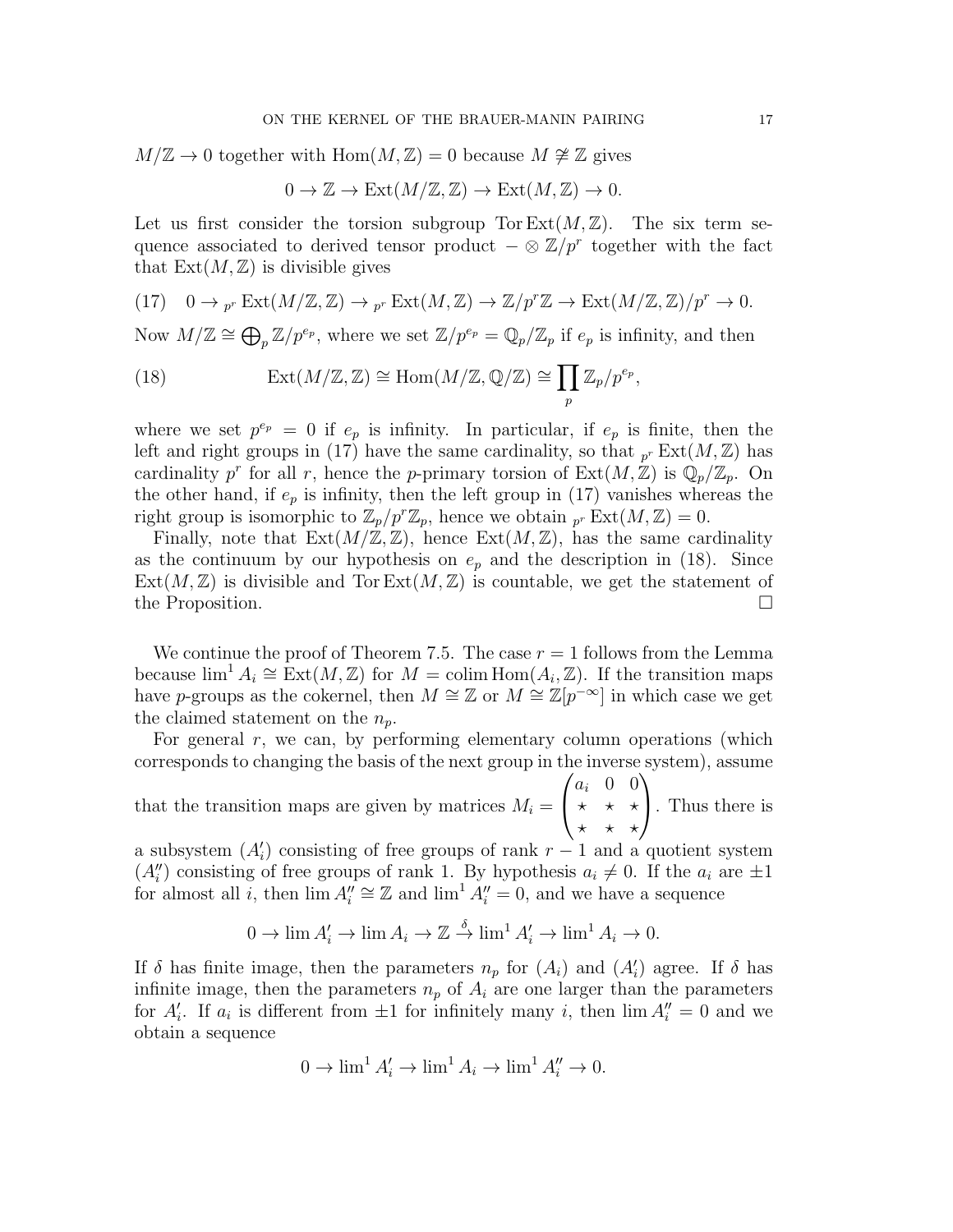$M/\mathbb{Z} \to 0$  together with Hom $(M,\mathbb{Z})=0$  because  $M \not\cong \mathbb{Z}$  gives

$$
0 \to \mathbb{Z} \to \text{Ext}(M/\mathbb{Z}, \mathbb{Z}) \to \text{Ext}(M, \mathbb{Z}) \to 0.
$$

Let us first consider the torsion subgroup Tor  $Ext(M,\mathbb{Z})$ . The six term sequence associated to derived tensor product  $-\otimes \mathbb{Z}/p^r$  together with the fact that  $Ext(M, \mathbb{Z})$  is divisible gives

(17) 
$$
0 \to_{p^r} \text{Ext}(M/\mathbb{Z}, \mathbb{Z}) \to_{p^r} \text{Ext}(M, \mathbb{Z}) \to \mathbb{Z}/p^r\mathbb{Z} \to \text{Ext}(M/\mathbb{Z}, \mathbb{Z})/p^r \to 0.
$$

Now  $M/\mathbb{Z} \cong \bigoplus_{p} \mathbb{Z}/p^{e_p}$ , where we set  $\mathbb{Z}/p^{e_p} = \mathbb{Q}_p/\mathbb{Z}_p$  if  $e_p$  is infinity, and then

(18) 
$$
\operatorname{Ext}(M/\mathbb{Z}, \mathbb{Z}) \cong \operatorname{Hom}(M/\mathbb{Z}, \mathbb{Q}/\mathbb{Z}) \cong \prod_p \mathbb{Z}_p/p^{e_p},
$$

where we set  $p^{e_p} = 0$  if  $e_p$  is infinity. In particular, if  $e_p$  is finite, then the left and right groups in (17) have the same cardinality, so that  $_{p^{r}} \text{Ext}(M,\mathbb{Z})$  has cardinality p<sup>r</sup> for all r, hence the p-primary torsion of  $\text{Ext}(M,\mathbb{Z})$  is  $\mathbb{Q}_p/\mathbb{Z}_p$ . On the other hand, if  $e_p$  is infinity, then the left group in (17) vanishes whereas the right group is isomorphic to  $\mathbb{Z}_p/p^r\mathbb{Z}_p$ , hence we obtain  $\int_{p^r} \mathrm{Ext}(M, \mathbb{Z}) = 0$ .

Finally, note that  $Ext(M/\mathbb{Z}, \mathbb{Z})$ , hence  $Ext(M, \mathbb{Z})$ , has the same cardinality as the continuum by our hypothesis on  $e_p$  and the description in (18). Since  $Ext(M, \mathbb{Z})$  is divisible and Tor  $Ext(M, \mathbb{Z})$  is countable, we get the statement of the Proposition.

We continue the proof of Theorem 7.5. The case  $r = 1$  follows from the Lemma because  $\lim^1 A_i \cong \text{Ext}(M, \mathbb{Z})$  for  $M = \text{colim Hom}(A_i, \mathbb{Z})$ . If the transition maps have p-groups as the cokernel, then  $M \cong \mathbb{Z}$  or  $M \cong \mathbb{Z}[p^{-\infty}]$  in which case we get the claimed statement on the  $n_p$ .

For general  $r$ , we can, by performing elementary column operations (which corresponds to changing the basis of the next group in the inverse system), assume

that the transition maps are given by matrices  $M_i =$  $\sqrt{ }$  $\overline{1}$  $a_i$  0 0  $\star$   $\star$   $\star$  $\star$   $\star$   $\star$  $\setminus$ . Thus there is

a subsystem  $(A_i)$  consisting of free groups of rank  $r-1$  and a quotient system  $(A_i'')$  consisting of free groups of rank 1. By hypothesis  $a_i \neq 0$ . If the  $a_i$  are  $\pm 1$ for almost all i, then  $\lim_{n \to \infty} A_n^{\prime\prime} \cong \mathbb{Z}$  and  $\lim_{n \to \infty} A_n^{\prime\prime} = 0$ , and we have a sequence

$$
0 \to \lim A'_i \to \lim A_i \to \mathbb{Z} \stackrel{\delta}{\to} \lim^1 A'_i \to \lim^1 A_i \to 0.
$$

If  $\delta$  has finite image, then the parameters  $n_p$  for  $(A_i)$  and  $(A'_i)$  agree. If  $\delta$  has infinite image, then the parameters  $n_p$  of  $A_i$  are one larger than the parameters for  $A_i'$ . If  $a_i$  is different from  $\pm 1$  for infinitely many i, then  $\lim A_i'' = 0$  and we obtain a sequence

$$
0 \to \lim^1 A'_i \to \lim^1 A_i \to \lim^1 A''_i \to 0.
$$